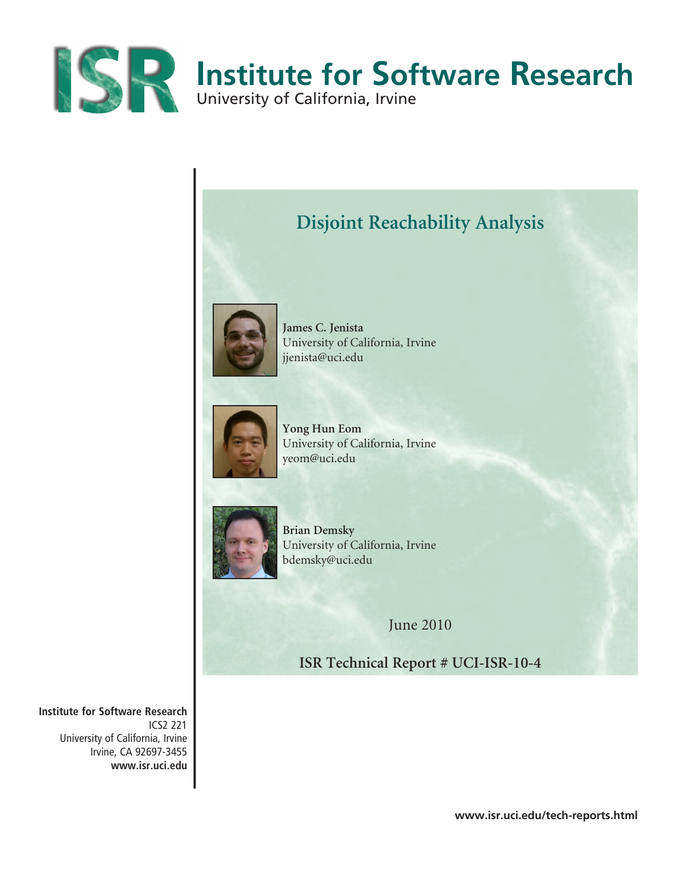



June 2010

**ISR Technical Report # UCI-ISR-10-4**

**Institute for Software Research** ICS2 221 University of California, Irvine Irvine, CA 92697-3455 **www.isr.uci.edu**

**www.isr.uci.edu/tech-reports.html**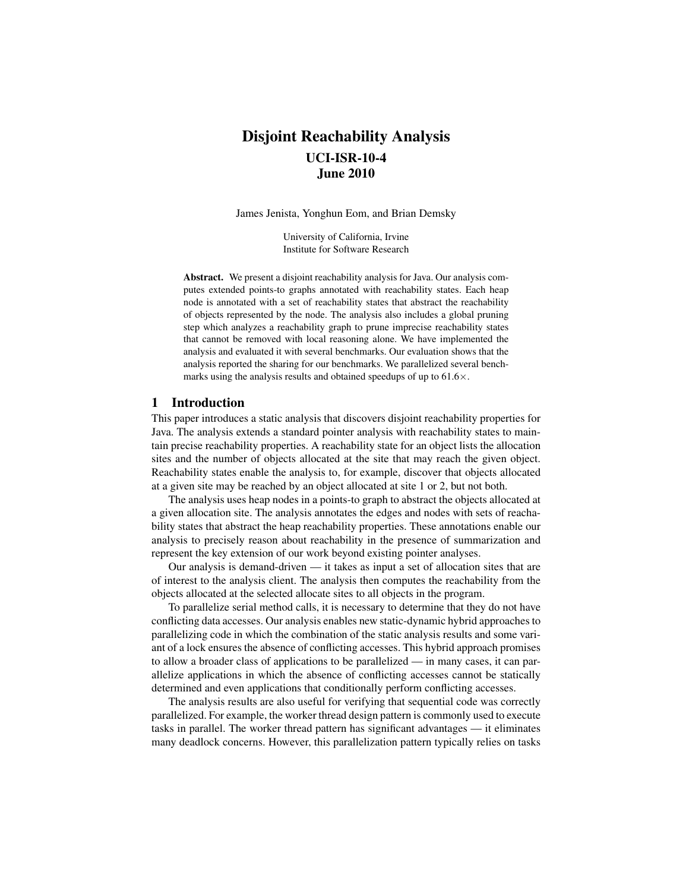# Disjoint Reachability Analysis UCI-ISR-10-4 June 2010

James Jenista, Yonghun Eom, and Brian Demsky

University of California, Irvine Institute for Software Research

Abstract. We present a disjoint reachability analysis for Java. Our analysis computes extended points-to graphs annotated with reachability states. Each heap node is annotated with a set of reachability states that abstract the reachability of objects represented by the node. The analysis also includes a global pruning step which analyzes a reachability graph to prune imprecise reachability states that cannot be removed with local reasoning alone. We have implemented the analysis and evaluated it with several benchmarks. Our evaluation shows that the analysis reported the sharing for our benchmarks. We parallelized several benchmarks using the analysis results and obtained speedups of up to 61.6×.

# 1 Introduction

This paper introduces a static analysis that discovers disjoint reachability properties for Java. The analysis extends a standard pointer analysis with reachability states to maintain precise reachability properties. A reachability state for an object lists the allocation sites and the number of objects allocated at the site that may reach the given object. Reachability states enable the analysis to, for example, discover that objects allocated at a given site may be reached by an object allocated at site 1 or 2, but not both.

The analysis uses heap nodes in a points-to graph to abstract the objects allocated at a given allocation site. The analysis annotates the edges and nodes with sets of reachability states that abstract the heap reachability properties. These annotations enable our analysis to precisely reason about reachability in the presence of summarization and represent the key extension of our work beyond existing pointer analyses.

Our analysis is demand-driven — it takes as input a set of allocation sites that are of interest to the analysis client. The analysis then computes the reachability from the objects allocated at the selected allocate sites to all objects in the program.

To parallelize serial method calls, it is necessary to determine that they do not have conflicting data accesses. Our analysis enables new static-dynamic hybrid approaches to parallelizing code in which the combination of the static analysis results and some variant of a lock ensures the absence of conflicting accesses. This hybrid approach promises to allow a broader class of applications to be parallelized — in many cases, it can parallelize applications in which the absence of conflicting accesses cannot be statically determined and even applications that conditionally perform conflicting accesses.

The analysis results are also useful for verifying that sequential code was correctly parallelized. For example, the worker thread design pattern is commonly used to execute tasks in parallel. The worker thread pattern has significant advantages — it eliminates many deadlock concerns. However, this parallelization pattern typically relies on tasks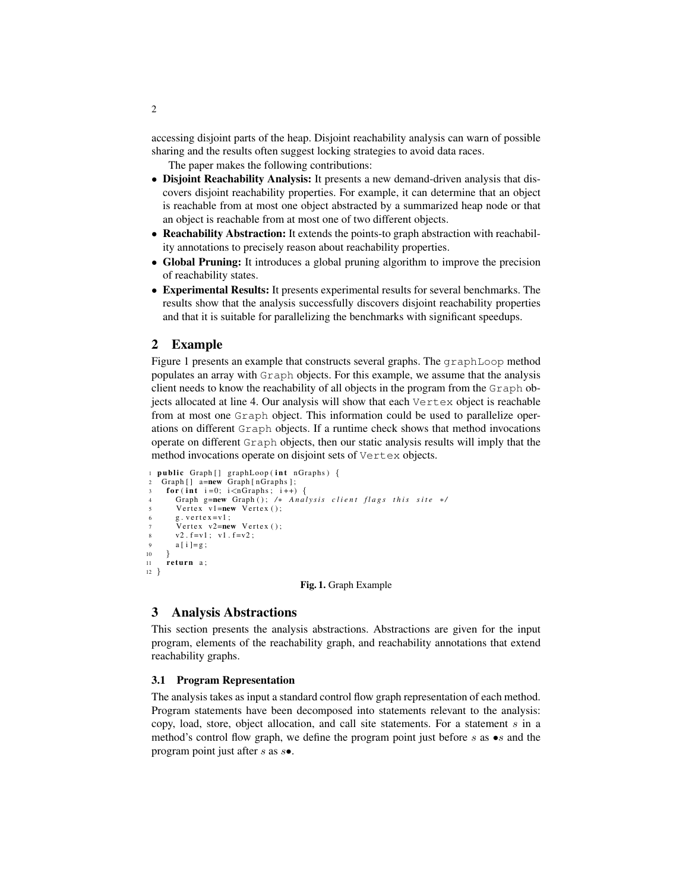accessing disjoint parts of the heap. Disjoint reachability analysis can warn of possible sharing and the results often suggest locking strategies to avoid data races.

The paper makes the following contributions:

- Disjoint Reachability Analysis: It presents a new demand-driven analysis that discovers disjoint reachability properties. For example, it can determine that an object is reachable from at most one object abstracted by a summarized heap node or that an object is reachable from at most one of two different objects.
- Reachability Abstraction: It extends the points-to graph abstraction with reachability annotations to precisely reason about reachability properties.
- Global Pruning: It introduces a global pruning algorithm to improve the precision of reachability states.
- Experimental Results: It presents experimental results for several benchmarks. The results show that the analysis successfully discovers disjoint reachability properties and that it is suitable for parallelizing the benchmarks with significant speedups.

# 2 Example

Figure 1 presents an example that constructs several graphs. The graphLoop method populates an array with Graph objects. For this example, we assume that the analysis client needs to know the reachability of all objects in the program from the Graph objects allocated at line 4. Our analysis will show that each Vertex object is reachable from at most one Graph object. This information could be used to parallelize operations on different Graph objects. If a runtime check shows that method invocations operate on different Graph objects, then our static analysis results will imply that the method invocations operate on disjoint sets of Vertex objects.

```
1 public Graph \begin{bmatrix} \end{bmatrix} graph Loop (int nGraphs) \begin{bmatrix} \end{bmatrix}2 Graph \lceil \cdot \rceil a=new Graph \lceil \cdot \rceil nGraphs \lceil \cdot \rceil:
      for (int i=0; i< nGraphs; i++)Graph g=new Graph (); /* Analysis client flags this site */
          Vertex v1=new Vertex():
 6 g. vertex=v1;<br>7 Vertex v2=new Vertex();
         v2. f = v1; v1. f = v2;
         a [ i ] = g ;10 }
11 return a;
12 }
```
### Fig. 1. Graph Example

# 3 Analysis Abstractions

This section presents the analysis abstractions. Abstractions are given for the input program, elements of the reachability graph, and reachability annotations that extend reachability graphs.

### 3.1 Program Representation

The analysis takes as input a standard control flow graph representation of each method. Program statements have been decomposed into statements relevant to the analysis: copy, load, store, object allocation, and call site statements. For a statement s in a method's control flow graph, we define the program point just before s as  $\bullet s$  and the program point just after  $s$  as  $s \bullet$ .

 $\mathfrak{D}$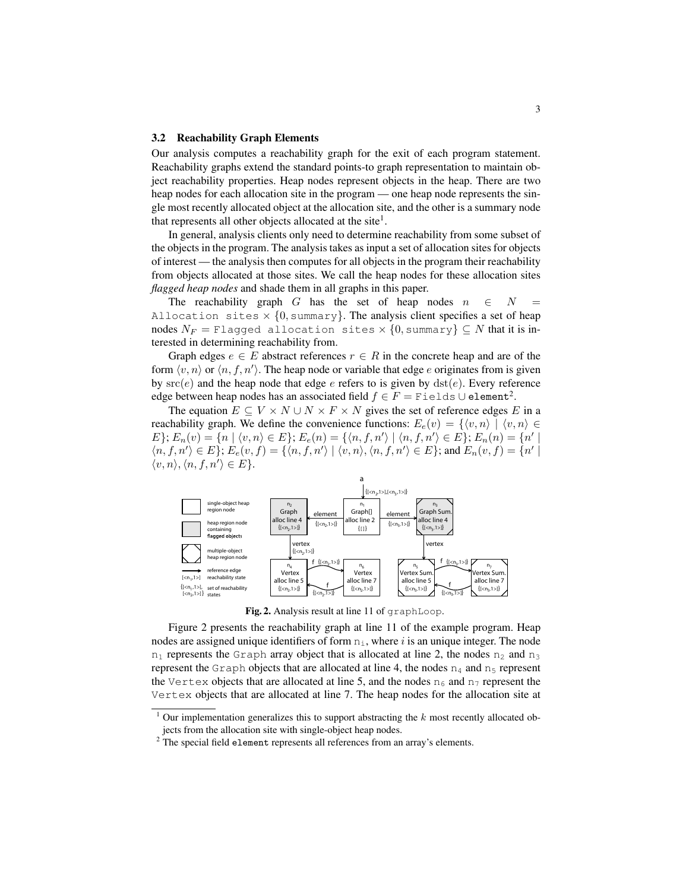#### 3.2 Reachability Graph Elements

Our analysis computes a reachability graph for the exit of each program statement. Reachability graphs extend the standard points-to graph representation to maintain object reachability properties. Heap nodes represent objects in the heap. There are two heap nodes for each allocation site in the program — one heap node represents the single most recently allocated object at the allocation site, and the other is a summary node that represents all other objects allocated at the site<sup>1</sup>.

In general, analysis clients only need to determine reachability from some subset of the objects in the program. The analysis takes as input a set of allocation sites for objects of interest — the analysis then computes for all objects in the program their reachability from objects allocated at those sites. We call the heap nodes for these allocation sites *flagged heap nodes* and shade them in all graphs in this paper.

The reachability graph G has the set of heap nodes  $n \in N$ Allocation sites  $\times$  {0, summary}. The analysis client specifies a set of heap nodes  $N_F =$  Flagged allocation sites  $\times$  {0, summary}  $\subseteq$  N that it is interested in determining reachability from.

Graph edges  $e \in E$  abstract references  $r \in R$  in the concrete heap and are of the form  $\langle v, n \rangle$  or  $\langle n, f, n' \rangle$ . The heap node or variable that edge e originates from is given by  $src(e)$  and the heap node that edge e refers to is given by  $dst(e)$ . Every reference edge between heap nodes has an associated field  $f \in F = \texttt{Fields} \cup \texttt{element}^2$ .

The equation  $E \subseteq V \times N \cup N \times F \times N$  gives the set of reference edges E in a reachability graph. We define the convenience functions:  $E_e(v) = \{ \langle v, n \rangle \mid \langle v, n \rangle \in$  $E$ };  $E_n(v) = \{n \mid \langle v, n \rangle \in E\}$ ;  $E_e(n) = \{\langle n, f, n' \rangle \mid \langle n, f, n' \rangle \in E\}$ ;  $E_n(n) = \{n' \mid$  $\langle n, f, n' \rangle \in E$ };  $E_e(v, f) = \{ \langle n, f, n' \rangle \mid \langle v, n \rangle, \langle n, f, n' \rangle \in E \}$ ; and  $E_n(v, f) = \{ n' \mid$  $\langle v, n \rangle, \langle n, f, n' \rangle \in E$ .



Fig. 2. Analysis result at line 11 of graphLoop.

Figure 2 presents the reachability graph at line 11 of the example program. Heap nodes are assigned unique identifiers of form  $n_i$ , where i is an unique integer. The node  $n_1$  represents the Graph array object that is allocated at line 2, the nodes  $n_2$  and  $n_3$ represent the Graph objects that are allocated at line 4, the nodes  $n_4$  and  $n_5$  represent the Vertex objects that are allocated at line 5, and the nodes  $n_6$  and  $n_7$  represent the Vertex objects that are allocated at line 7. The heap nodes for the allocation site at

<sup>&</sup>lt;sup>1</sup> Our implementation generalizes this to support abstracting the  $k$  most recently allocated objects from the allocation site with single-object heap nodes.

 $2^{2}$  The special field element represents all references from an array's elements.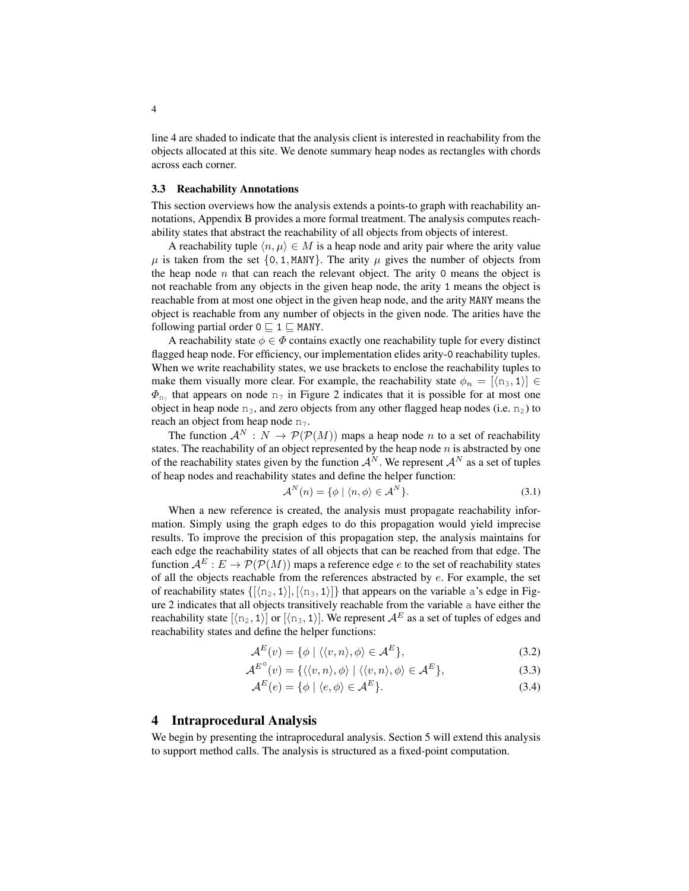line 4 are shaded to indicate that the analysis client is interested in reachability from the objects allocated at this site. We denote summary heap nodes as rectangles with chords across each corner.

#### 3.3 Reachability Annotations

This section overviews how the analysis extends a points-to graph with reachability annotations, Appendix B provides a more formal treatment. The analysis computes reachability states that abstract the reachability of all objects from objects of interest.

A reachability tuple  $\langle n, \mu \rangle \in M$  is a heap node and arity pair where the arity value  $\mu$  is taken from the set {0, 1, MANY}. The arity  $\mu$  gives the number of objects from the heap node  $n$  that can reach the relevant object. The arity 0 means the object is not reachable from any objects in the given heap node, the arity 1 means the object is reachable from at most one object in the given heap node, and the arity MANY means the object is reachable from any number of objects in the given node. The arities have the following partial order  $0 \sqsubseteq 1 \sqsubseteq$  MANY.

A reachability state  $\phi \in \Phi$  contains exactly one reachability tuple for every distinct flagged heap node. For efficiency, our implementation elides arity-0 reachability tuples. When we write reachability states, we use brackets to enclose the reachability tuples to make them visually more clear. For example, the reachability state  $\phi_n = [\langle n_3, 1 \rangle] \in$  $\Phi_{n_{\tau}}$  that appears on node  $n_{\tau}$  in Figure 2 indicates that it is possible for at most one object in heap node  $n_3$ , and zero objects from any other flagged heap nodes (i.e.  $n_2$ ) to reach an object from heap node  $n_7$ .

The function  $A^N : N \to \mathcal{P}(\mathcal{P}(M))$  maps a heap node n to a set of reachability states. The reachability of an object represented by the heap node  $n$  is abstracted by one of the reachability states given by the function  $A^N$ . We represent  $A^N$  as a set of tuples of heap nodes and reachability states and define the helper function:

$$
\mathcal{A}^{N}(n) = \{ \phi \mid \langle n, \phi \rangle \in \mathcal{A}^{N} \}.
$$
\n(3.1)

When a new reference is created, the analysis must propagate reachability information. Simply using the graph edges to do this propagation would yield imprecise results. To improve the precision of this propagation step, the analysis maintains for each edge the reachability states of all objects that can be reached from that edge. The function  $A^E : E \to \mathcal{P}(\mathcal{P}(M))$  maps a reference edge e to the set of reachability states of all the objects reachable from the references abstracted by  $e$ . For example, the set of reachability states  $\{(\langle n_2, 1 \rangle), (\langle n_3, 1 \rangle)\}$  that appears on the variable a's edge in Figure 2 indicates that all objects transitively reachable from the variable a have either the reachability state  $[\langle n_2, 1 \rangle]$  or  $[\langle n_3, 1 \rangle]$ . We represent  $A^E$  as a set of tuples of edges and reachability states and define the helper functions:

$$
\mathcal{A}^{E}(v) = \{ \phi \mid \langle \langle v, n \rangle, \phi \rangle \in \mathcal{A}^{E} \},\tag{3.2}
$$

$$
\mathcal{A}^{E^{\circ}}(v) = \{ \langle \langle v, n \rangle, \phi \rangle \mid \langle \langle v, n \rangle, \phi \rangle \in \mathcal{A}^{E} \},\tag{3.3}
$$

$$
\mathcal{A}^E(e) = \{ \phi \mid \langle e, \phi \rangle \in \mathcal{A}^E \}. \tag{3.4}
$$

# 4 Intraprocedural Analysis

We begin by presenting the intraprocedural analysis. Section 5 will extend this analysis to support method calls. The analysis is structured as a fixed-point computation.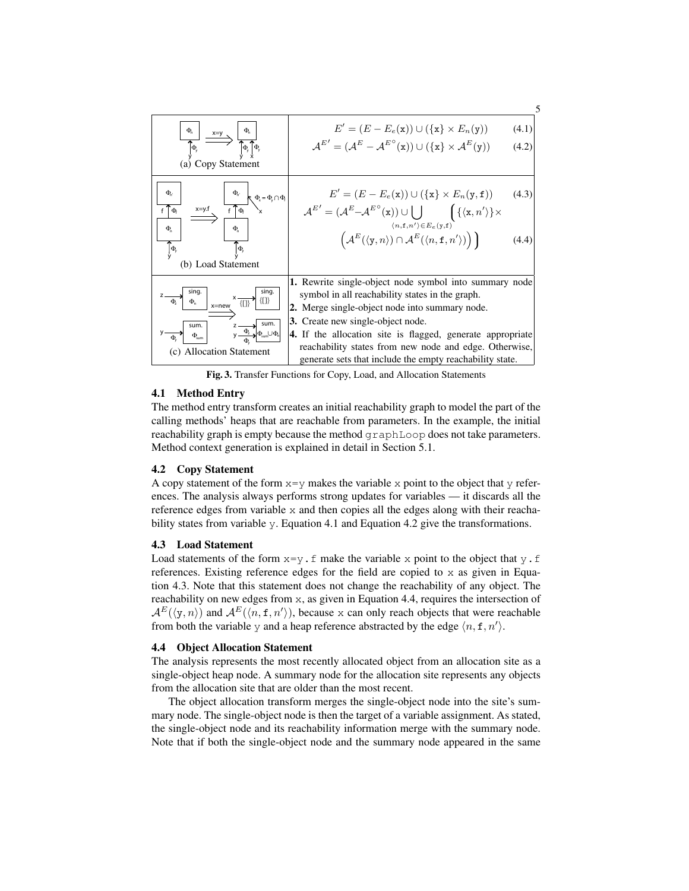

Fig. 3. Transfer Functions for Copy, Load, and Allocation Statements

# 4.1 Method Entry

The method entry transform creates an initial reachability graph to model the part of the calling methods' heaps that are reachable from parameters. In the example, the initial reachability graph is empty because the method graphLoop does not take parameters. Method context generation is explained in detail in Section 5.1.

# 4.2 Copy Statement

A copy statement of the form  $x=y$  makes the variable x point to the object that y references. The analysis always performs strong updates for variables — it discards all the reference edges from variable  $x$  and then copies all the edges along with their reachability states from variable y. Equation 4.1 and Equation 4.2 give the transformations.

# 4.3 Load Statement

Load statements of the form  $x=y$ . f make the variable x point to the object that y. f references. Existing reference edges for the field are copied to  $\times$  as given in Equation 4.3. Note that this statement does not change the reachability of any object. The reachability on new edges from x, as given in Equation 4.4, requires the intersection of  $A^E(\langle y, n \rangle)$  and  $A^E(\langle n, f, n' \rangle)$ , because x can only reach objects that were reachable from both the variable y and a heap reference abstracted by the edge  $\langle n, \mathbf{f}, n' \rangle$ .

### 4.4 Object Allocation Statement

The analysis represents the most recently allocated object from an allocation site as a single-object heap node. A summary node for the allocation site represents any objects from the allocation site that are older than the most recent.

The object allocation transform merges the single-object node into the site's summary node. The single-object node is then the target of a variable assignment. As stated, the single-object node and its reachability information merge with the summary node. Note that if both the single-object node and the summary node appeared in the same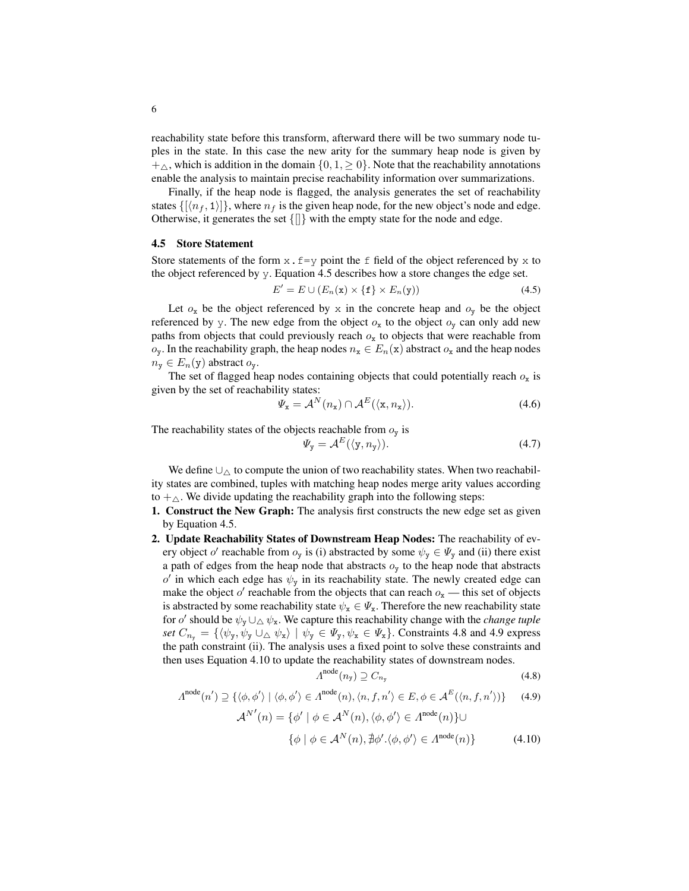reachability state before this transform, afterward there will be two summary node tuples in the state. In this case the new arity for the summary heap node is given by  $+_{\triangle}$ , which is addition in the domain  $\{0, 1, \geq 0\}$ . Note that the reachability annotations enable the analysis to maintain precise reachability information over summarizations.

Finally, if the heap node is flagged, the analysis generates the set of reachability states  $\{\langle n_f , 1 \rangle\}$ , where  $n_f$  is the given heap node, for the new object's node and edge. Otherwise, it generates the set {[]} with the empty state for the node and edge.

### 4.5 Store Statement

Store statements of the form  $x \cdot f = y$  point the f field of the object referenced by x to the object referenced by y. Equation 4.5 describes how a store changes the edge set.

$$
E' = E \cup (E_n(\mathbf{x}) \times \{\mathbf{f}\} \times E_n(\mathbf{y})) \tag{4.5}
$$

Let  $o_x$  be the object referenced by x in the concrete heap and  $o_y$  be the object referenced by y. The new edge from the object  $o_x$  to the object  $o_y$  can only add new paths from objects that could previously reach  $o_x$  to objects that were reachable from  $o_y$ . In the reachability graph, the heap nodes  $n_x \in E_n(x)$  abstract  $o_x$  and the heap nodes  $n_{y} \in E_{n}(y)$  abstract  $o_{y}$ .

The set of flagged heap nodes containing objects that could potentially reach  $o_x$  is given by the set of reachability states:

$$
\Psi_{\mathbf{x}} = \mathcal{A}^{N}(n_{\mathbf{x}}) \cap \mathcal{A}^{E}(\langle \mathbf{x}, n_{\mathbf{x}} \rangle). \tag{4.6}
$$

The reachability states of the objects reachable from  $o_\text{y}$  is

$$
\Psi_{\mathbf{y}} = \mathcal{A}^{E}(\langle \mathbf{y}, n_{\mathbf{y}} \rangle). \tag{4.7}
$$

We define  $\cup_{\triangle}$  to compute the union of two reachability states. When two reachability states are combined, tuples with matching heap nodes merge arity values according to  $+\wedge$ . We divide updating the reachability graph into the following steps:

- 1. Construct the New Graph: The analysis first constructs the new edge set as given by Equation 4.5.
- 2. Update Reachability States of Downstream Heap Nodes: The reachability of every object o' reachable from  $o_y$  is (i) abstracted by some  $\psi_y \in \Psi_y$  and (ii) there exist a path of edges from the heap node that abstracts  $o_y$  to the heap node that abstracts  $o'$  in which each edge has  $\psi_y$  in its reachability state. The newly created edge can make the object  $o'$  reachable from the objects that can reach  $o_x$  — this set of objects is abstracted by some reachability state  $\psi_x \in \Psi_x$ . Therefore the new reachability state for *o'* should be  $\psi_y \cup_{\Delta} \psi_x$ . We capture this reachability change with the *change tuple set*  $C_{n_{\text{y}}} = \{\langle \psi_{\text{y}}, \psi_{\text{y}} \cup \Delta \psi_{\text{x}} \rangle \mid \psi_{\text{y}} \in \Psi_{\text{y}}, \psi_{\text{x}} \in \Psi_{\text{x}}\}.$  Constraints 4.8 and 4.9 express the path constraint (ii). The analysis uses a fixed point to solve these constraints and then uses Equation 4.10 to update the reachability states of downstream nodes.

$$
A^{\text{node}}(n_{\mathbf{y}}) \supseteq C_{n_{\mathbf{y}}} \tag{4.8}
$$

$$
\Lambda^{\text{node}}(n') \supseteq \{ \langle \phi, \phi' \rangle \mid \langle \phi, \phi' \rangle \in \Lambda^{\text{node}}(n), \langle n, f, n' \rangle \in E, \phi \in \mathcal{A}^E(\langle n, f, n' \rangle) \} \tag{4.9}
$$

$$
\mathcal{A}^{N'}(n) = \{ \phi' \mid \phi \in \mathcal{A}^{N}(n), \langle \phi, \phi' \rangle \in \Lambda^{\text{node}}(n) \} \cup
$$

$$
\{ \phi \mid \phi \in \mathcal{A}^{N}(n), \nexists \phi'. \langle \phi, \phi' \rangle \in \Lambda^{\text{node}}(n) \}
$$
(4.10)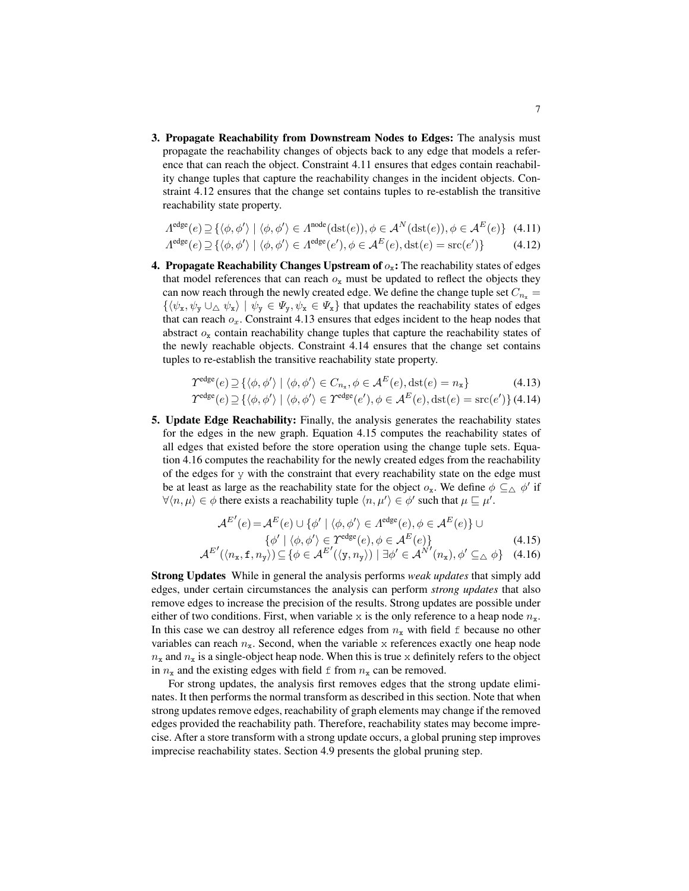3. Propagate Reachability from Downstream Nodes to Edges: The analysis must propagate the reachability changes of objects back to any edge that models a reference that can reach the object. Constraint 4.11 ensures that edges contain reachability change tuples that capture the reachability changes in the incident objects. Constraint 4.12 ensures that the change set contains tuples to re-establish the transitive reachability state property.

$$
\Lambda^{\text{edge}}(e) \supseteq \{ \langle \phi, \phi' \rangle \mid \langle \phi, \phi' \rangle \in \Lambda^{\text{node}}(\text{dst}(e)), \phi \in \mathcal{A}^N(\text{dst}(e)), \phi \in \mathcal{A}^E(e) \} \quad (4.11)
$$
  

$$
\Lambda^{\text{edge}}(e) \supseteq \{ \langle \phi, \phi' \rangle \mid \langle \phi, \phi' \rangle \in \Lambda^{\text{edge}}(e'), \phi \in \mathcal{A}^E(e), \text{dst}(e) = \text{src}(e') \} \tag{4.12}
$$

4. Propagate Reachability Changes Upstream of  $o_x$ : The reachability states of edges that model references that can reach  $o_x$  must be updated to reflect the objects they can now reach through the newly created edge. We define the change tuple set  $C_{n_x}$  =  $\{\langle \psi_x, \psi_y \cup_\Delta \psi_x \rangle \mid \psi_y \in \Psi_y, \psi_x \in \Psi_x \}$  that updates the reachability states of edges that can reach  $o_x$ . Constraint 4.13 ensures that edges incident to the heap nodes that abstract  $o_x$  contain reachability change tuples that capture the reachability states of the newly reachable objects. Constraint 4.14 ensures that the change set contains tuples to re-establish the transitive reachability state property.

$$
\begin{aligned} \Upsilon^{\text{edge}}(e) &\supseteq \{ \langle \phi, \phi' \rangle \mid \langle \phi, \phi' \rangle \in C_{n_x}, \phi \in \mathcal{A}^E(e), \text{dst}(e) = n_x \} \tag{4.13} \\ \Upsilon^{\text{edge}}(e) &\supseteq \{ \langle \phi, \phi' \rangle \mid \langle \phi, \phi' \rangle \in \Upsilon^{\text{edge}}(e'), \phi \in \mathcal{A}^E(e), \text{dst}(e) = \text{src}(e') \} \end{aligned}
$$

5. Update Edge Reachability: Finally, the analysis generates the reachability states for the edges in the new graph. Equation 4.15 computes the reachability states of all edges that existed before the store operation using the change tuple sets. Equation 4.16 computes the reachability for the newly created edges from the reachability of the edges for y with the constraint that every reachability state on the edge must be at least as large as the reachability state for the object  $o_x$ . We define  $\phi \subseteq_{\triangle} \phi'$  if  $\forall \langle n, \mu \rangle \in \phi$  there exists a reachability tuple  $\langle n, \mu' \rangle \in \phi'$  such that  $\mu \sqsubseteq \mu'$ .

$$
\mathcal{A}^{E'}(e) = \mathcal{A}^{E}(e) \cup \{\phi' \mid \langle \phi, \phi' \rangle \in \Lambda^{\text{edge}}(e), \phi \in \mathcal{A}^{E}(e)\} \cup \{\phi' \mid \langle \phi, \phi' \rangle \in \Upsilon^{\text{edge}}(e), \phi \in \mathcal{A}^{E}(e)\}\n\mathcal{A}^{E'}(\langle n_x, \mathbf{f}, n_y \rangle) \subseteq \{\phi \in \mathcal{A}^{E'}(\langle \mathbf{y}, n_y \rangle) \mid \exists \phi' \in \mathcal{A}^{N'}(n_x), \phi' \subseteq_{\Delta} \phi\} \quad (4.16)
$$

Strong Updates While in general the analysis performs *weak updates* that simply add edges, under certain circumstances the analysis can perform *strong updates* that also remove edges to increase the precision of the results. Strong updates are possible under either of two conditions. First, when variable x is the only reference to a heap node  $n_x$ . In this case we can destroy all reference edges from  $n_x$  with field f because no other variables can reach  $n_x$ . Second, when the variable x references exactly one heap node  $n_x$  and  $n_x$  is a single-object heap node. When this is true x definitely refers to the object in  $n_x$  and the existing edges with field f from  $n_x$  can be removed.

For strong updates, the analysis first removes edges that the strong update eliminates. It then performs the normal transform as described in this section. Note that when strong updates remove edges, reachability of graph elements may change if the removed edges provided the reachability path. Therefore, reachability states may become imprecise. After a store transform with a strong update occurs, a global pruning step improves imprecise reachability states. Section 4.9 presents the global pruning step.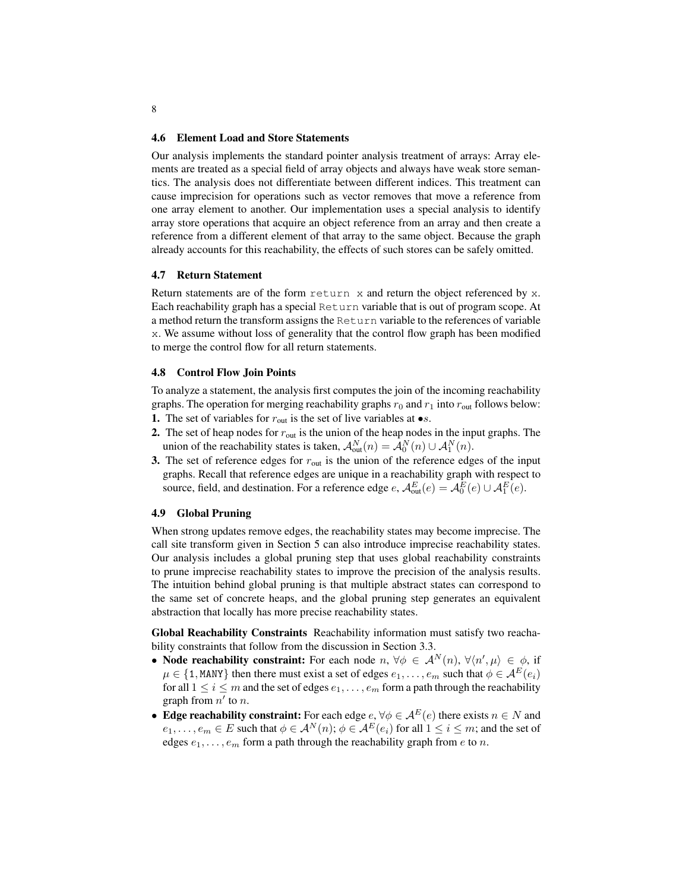#### 4.6 Element Load and Store Statements

Our analysis implements the standard pointer analysis treatment of arrays: Array elements are treated as a special field of array objects and always have weak store semantics. The analysis does not differentiate between different indices. This treatment can cause imprecision for operations such as vector removes that move a reference from one array element to another. Our implementation uses a special analysis to identify array store operations that acquire an object reference from an array and then create a reference from a different element of that array to the same object. Because the graph already accounts for this reachability, the effects of such stores can be safely omitted.

#### 4.7 Return Statement

Return statements are of the form  $r$  return x and return the object referenced by x. Each reachability graph has a special Return variable that is out of program scope. At a method return the transform assigns the Return variable to the references of variable x. We assume without loss of generality that the control flow graph has been modified to merge the control flow for all return statements.

# 4.8 Control Flow Join Points

To analyze a statement, the analysis first computes the join of the incoming reachability graphs. The operation for merging reachability graphs  $r_0$  and  $r_1$  into  $r_{\text{out}}$  follows below:

- 1. The set of variables for  $r_{\text{out}}$  is the set of live variables at  $\bullet s$ .
- 2. The set of heap nodes for  $r_{\text{out}}$  is the union of the heap nodes in the input graphs. The union of the reachability states is taken,  $\mathcal{A}_{out}^{N}(n) = \mathcal{A}_{0}^{N}(n) \cup \mathcal{A}_{1}^{N}(n)$ .
- 3. The set of reference edges for  $r_{\text{out}}$  is the union of the reference edges of the input graphs. Recall that reference edges are unique in a reachability graph with respect to source, field, and destination. For a reference edge  $e$ ,  $\mathcal{A}_{out}^E(e) = \mathcal{A}_0^E(e) \cup \mathcal{A}_1^E(e)$ .

### 4.9 Global Pruning

When strong updates remove edges, the reachability states may become imprecise. The call site transform given in Section 5 can also introduce imprecise reachability states. Our analysis includes a global pruning step that uses global reachability constraints to prune imprecise reachability states to improve the precision of the analysis results. The intuition behind global pruning is that multiple abstract states can correspond to the same set of concrete heaps, and the global pruning step generates an equivalent abstraction that locally has more precise reachability states.

Global Reachability Constraints Reachability information must satisfy two reachability constraints that follow from the discussion in Section 3.3.

- Node reachability constraint: For each node  $n, \forall \phi \in A^N(n), \forall \langle n', \mu \rangle \in \phi$ , if  $\mu \in \{1, \text{MANY}\}\$  then there must exist a set of edges  $e_1, \ldots, e_m$  such that  $\phi \in \mathcal{A}^E(e_i)$ for all  $1 \leq i \leq m$  and the set of edges  $e_1, \ldots, e_m$  form a path through the reachability graph from  $n'$  to  $n$ .
- Edge reachability constraint: For each edge  $e, \forall \phi \in A^E(e)$  there exists  $n \in N$  and  $e_1, \ldots, e_m \in E$  such that  $\phi \in A^N(n)$ ;  $\phi \in A^E(e_i)$  for all  $1 \leq i \leq m$ ; and the set of edges  $e_1, \ldots, e_m$  form a path through the reachability graph from  $e$  to  $n$ .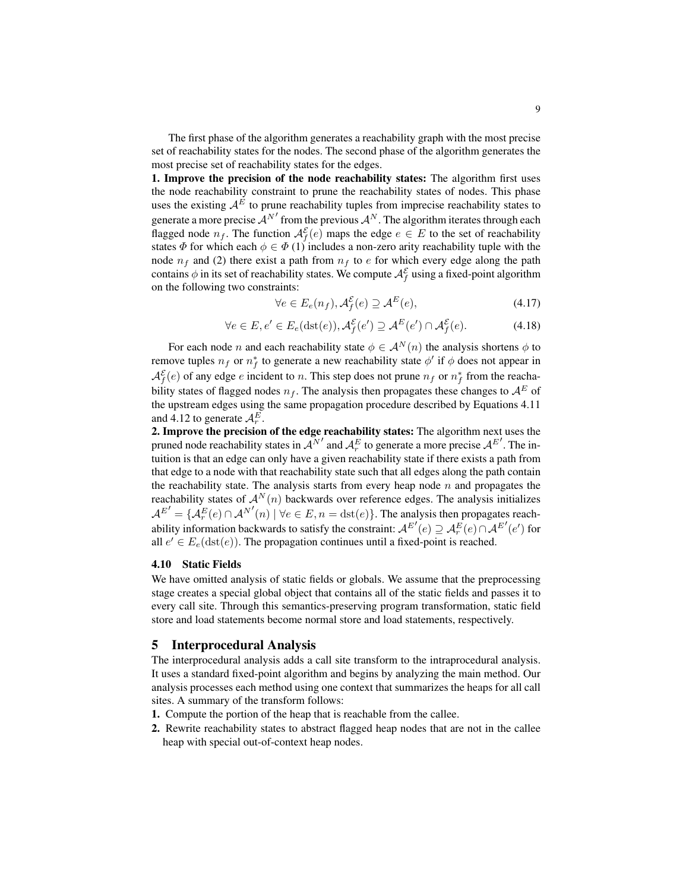The first phase of the algorithm generates a reachability graph with the most precise set of reachability states for the nodes. The second phase of the algorithm generates the most precise set of reachability states for the edges.

1. Improve the precision of the node reachability states: The algorithm first uses the node reachability constraint to prune the reachability states of nodes. This phase uses the existing  $A^E$  to prune reachability tuples from imprecise reachability states to generate a more precise  $A^{N'}$  from the previous  $A^N$ . The algorithm iterates through each flagged node  $n_f$ . The function  $\mathcal{A}_f^{\mathcal{E}}(e)$  maps the edge  $e \in E$  to the set of reachability states  $\Phi$  for which each  $\phi \in \Phi(1)$  includes a non-zero arity reachability tuple with the node  $n_f$  and (2) there exist a path from  $n_f$  to e for which every edge along the path contains  $\phi$  in its set of reachability states. We compute  $\mathcal{A}_f^{\mathcal{E}}$  using a fixed-point algorithm on the following two constraints:

$$
\forall e \in E_e(n_f), \mathcal{A}_f^{\mathcal{E}}(e) \supseteq \mathcal{A}^E(e), \tag{4.17}
$$

$$
\forall e \in E, e' \in E_e(\text{dst}(e)), \mathcal{A}_f^{\mathcal{E}}(e') \supseteq \mathcal{A}^E(e') \cap \mathcal{A}_f^{\mathcal{E}}(e). \tag{4.18}
$$

For each node *n* and each reachability state  $\phi \in A^N(n)$  the analysis shortens  $\phi$  to remove tuples  $n_f$  or  $n_f^*$  to generate a new reachability state  $\phi'$  if  $\phi$  does not appear in  $\mathcal{A}_f^{\mathcal{E}}(e)$  of any edge e incident to n. This step does not prune  $n_f$  or  $n_f^*$  from the reachability states of flagged nodes  $n_f$ . The analysis then propagates these changes to  $A^E$  of the upstream edges using the same propagation procedure described by Equations 4.11 and 4.12 to generate  $A_r^E$ .

2. Improve the precision of the edge reachability states: The algorithm next uses the pruned node reachability states in  $\mathcal{A}^{N'}$  and  $\mathcal{A}^E_r$  to generate a more precise  $\mathcal{A}^{E'}$ . The intuition is that an edge can only have a given reachability state if there exists a path from that edge to a node with that reachability state such that all edges along the path contain the reachability state. The analysis starts from every heap node  $n$  and propagates the reachability states of  $A^N(n)$  backwards over reference edges. The analysis initializes  $A^{E'} = \{A_r^{E}(e) \cap A^{N'}(n) \mid \forall e \in E, n = \text{dst}(e)\}.$  The analysis then propagates reachability information backwards to satisfy the constraint:  $A^{E'}(e) \supseteq A^{E'}_r(e) \cap A^{E'}(e')$  for all  $e' \in E_e(\text{dst}(e))$ . The propagation continues until a fixed-point is reached.

### 4.10 Static Fields

We have omitted analysis of static fields or globals. We assume that the preprocessing stage creates a special global object that contains all of the static fields and passes it to every call site. Through this semantics-preserving program transformation, static field store and load statements become normal store and load statements, respectively.

# 5 Interprocedural Analysis

The interprocedural analysis adds a call site transform to the intraprocedural analysis. It uses a standard fixed-point algorithm and begins by analyzing the main method. Our analysis processes each method using one context that summarizes the heaps for all call sites. A summary of the transform follows:

- 1. Compute the portion of the heap that is reachable from the callee.
- 2. Rewrite reachability states to abstract flagged heap nodes that are not in the callee heap with special out-of-context heap nodes.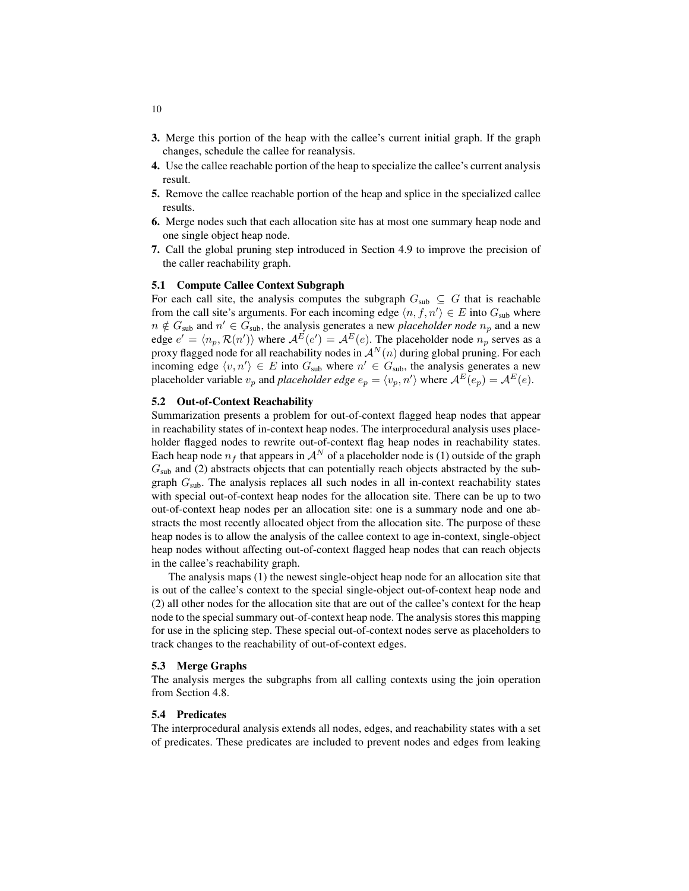- 3. Merge this portion of the heap with the callee's current initial graph. If the graph changes, schedule the callee for reanalysis.
- 4. Use the callee reachable portion of the heap to specialize the callee's current analysis result.
- 5. Remove the callee reachable portion of the heap and splice in the specialized callee results.
- 6. Merge nodes such that each allocation site has at most one summary heap node and one single object heap node.
- 7. Call the global pruning step introduced in Section 4.9 to improve the precision of the caller reachability graph.

# 5.1 Compute Callee Context Subgraph

For each call site, the analysis computes the subgraph  $G_{sub} \subseteq G$  that is reachable from the call site's arguments. For each incoming edge  $\langle n, f, n' \rangle \in E$  into  $G_{sub}$  where  $n \notin G_{sub}$  and  $n' \in G_{sub}$ , the analysis generates a new *placeholder node*  $n_p$  and a new edge  $e' = \langle n_p, \mathcal{R}(n') \rangle$  where  $\mathcal{A}^E(e') = \mathcal{A}^E(e)$ . The placeholder node  $n_p$  serves as a proxy flagged node for all reachability nodes in  $\mathcal{A}^N(n)$  during global pruning. For each incoming edge  $\langle v, n' \rangle \in E$  into  $G_{sub}$  where  $n' \in G_{sub}$ , the analysis generates a new placeholder variable  $v_p$  and *placeholder edge*  $e_p = \langle v_p, n' \rangle$  where  $A^E(e_p) = A^E(e)$ .

### 5.2 Out-of-Context Reachability

Summarization presents a problem for out-of-context flagged heap nodes that appear in reachability states of in-context heap nodes. The interprocedural analysis uses placeholder flagged nodes to rewrite out-of-context flag heap nodes in reachability states. Each heap node  $n_f$  that appears in  $A^N$  of a placeholder node is (1) outside of the graph  $G<sub>sub</sub>$  and (2) abstracts objects that can potentially reach objects abstracted by the subgraph  $G_{sub}$ . The analysis replaces all such nodes in all in-context reachability states with special out-of-context heap nodes for the allocation site. There can be up to two out-of-context heap nodes per an allocation site: one is a summary node and one abstracts the most recently allocated object from the allocation site. The purpose of these heap nodes is to allow the analysis of the callee context to age in-context, single-object heap nodes without affecting out-of-context flagged heap nodes that can reach objects in the callee's reachability graph.

The analysis maps (1) the newest single-object heap node for an allocation site that is out of the callee's context to the special single-object out-of-context heap node and (2) all other nodes for the allocation site that are out of the callee's context for the heap node to the special summary out-of-context heap node. The analysis stores this mapping for use in the splicing step. These special out-of-context nodes serve as placeholders to track changes to the reachability of out-of-context edges.

#### 5.3 Merge Graphs

The analysis merges the subgraphs from all calling contexts using the join operation from Section 4.8.

#### 5.4 Predicates

The interprocedural analysis extends all nodes, edges, and reachability states with a set of predicates. These predicates are included to prevent nodes and edges from leaking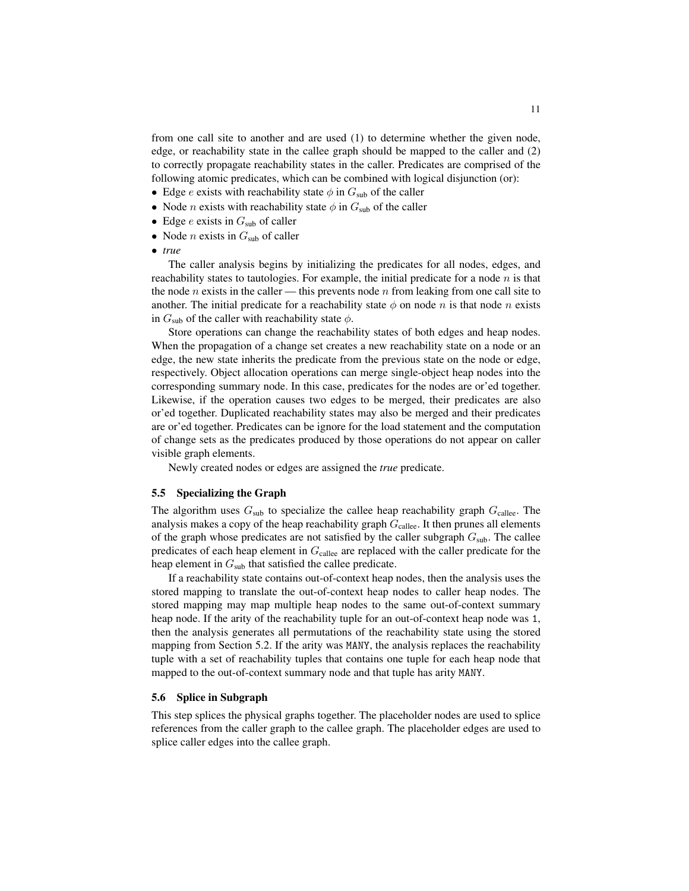from one call site to another and are used (1) to determine whether the given node, edge, or reachability state in the callee graph should be mapped to the caller and (2) to correctly propagate reachability states in the caller. Predicates are comprised of the following atomic predicates, which can be combined with logical disjunction (or):

- Edge e exists with reachability state  $\phi$  in  $G_{sub}$  of the caller
- Node *n* exists with reachability state  $\phi$  in  $G_{sub}$  of the caller
- Edge  $e$  exists in  $G_{sub}$  of caller
- Node *n* exists in  $G_{sub}$  of caller
- *true*

The caller analysis begins by initializing the predicates for all nodes, edges, and reachability states to tautologies. For example, the initial predicate for a node  $n$  is that the node  $n$  exists in the caller — this prevents node  $n$  from leaking from one call site to another. The initial predicate for a reachability state  $\phi$  on node n is that node n exists in  $G_{sub}$  of the caller with reachability state  $\phi$ .

Store operations can change the reachability states of both edges and heap nodes. When the propagation of a change set creates a new reachability state on a node or an edge, the new state inherits the predicate from the previous state on the node or edge, respectively. Object allocation operations can merge single-object heap nodes into the corresponding summary node. In this case, predicates for the nodes are or'ed together. Likewise, if the operation causes two edges to be merged, their predicates are also or'ed together. Duplicated reachability states may also be merged and their predicates are or'ed together. Predicates can be ignore for the load statement and the computation of change sets as the predicates produced by those operations do not appear on caller visible graph elements.

Newly created nodes or edges are assigned the *true* predicate.

### 5.5 Specializing the Graph

The algorithm uses  $G<sub>sub</sub>$  to specialize the callee heap reachability graph  $G<sub>callee</sub>$ . The analysis makes a copy of the heap reachability graph  $G_{\text{called}}$ . It then prunes all elements of the graph whose predicates are not satisfied by the caller subgraph  $G_{sub}$ . The callee predicates of each heap element in  $G_{\text{callee}}$  are replaced with the caller predicate for the heap element in  $G_{sub}$  that satisfied the callee predicate.

If a reachability state contains out-of-context heap nodes, then the analysis uses the stored mapping to translate the out-of-context heap nodes to caller heap nodes. The stored mapping may map multiple heap nodes to the same out-of-context summary heap node. If the arity of the reachability tuple for an out-of-context heap node was 1, then the analysis generates all permutations of the reachability state using the stored mapping from Section 5.2. If the arity was MANY, the analysis replaces the reachability tuple with a set of reachability tuples that contains one tuple for each heap node that mapped to the out-of-context summary node and that tuple has arity MANY.

### 5.6 Splice in Subgraph

This step splices the physical graphs together. The placeholder nodes are used to splice references from the caller graph to the callee graph. The placeholder edges are used to splice caller edges into the callee graph.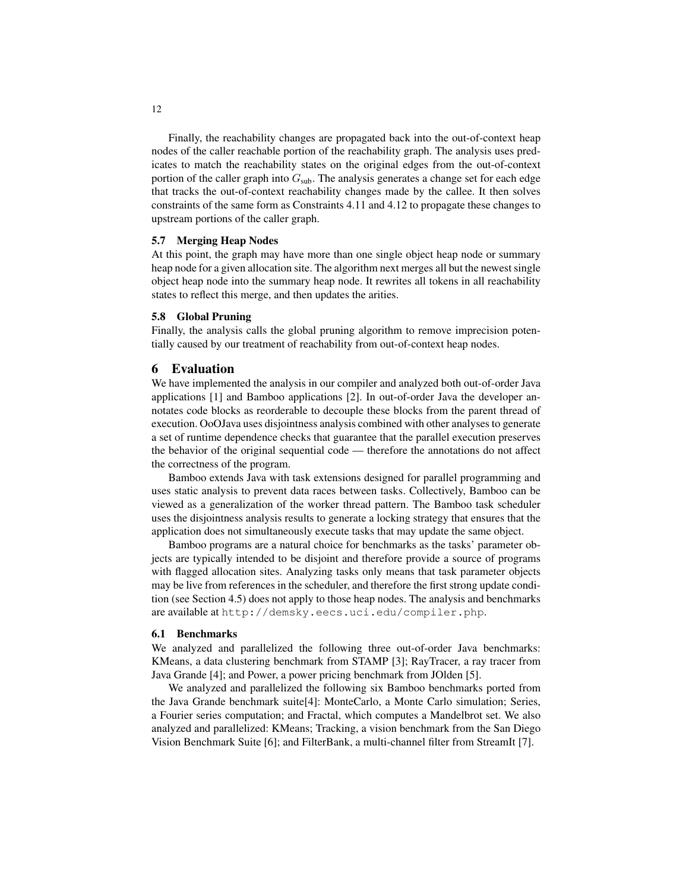Finally, the reachability changes are propagated back into the out-of-context heap nodes of the caller reachable portion of the reachability graph. The analysis uses predicates to match the reachability states on the original edges from the out-of-context portion of the caller graph into  $G_{sub}$ . The analysis generates a change set for each edge that tracks the out-of-context reachability changes made by the callee. It then solves constraints of the same form as Constraints 4.11 and 4.12 to propagate these changes to upstream portions of the caller graph.

# 5.7 Merging Heap Nodes

At this point, the graph may have more than one single object heap node or summary heap node for a given allocation site. The algorithm next merges all but the newest single object heap node into the summary heap node. It rewrites all tokens in all reachability states to reflect this merge, and then updates the arities.

### 5.8 Global Pruning

Finally, the analysis calls the global pruning algorithm to remove imprecision potentially caused by our treatment of reachability from out-of-context heap nodes.

# 6 Evaluation

We have implemented the analysis in our compiler and analyzed both out-of-order Java applications [1] and Bamboo applications [2]. In out-of-order Java the developer annotates code blocks as reorderable to decouple these blocks from the parent thread of execution. OoOJava uses disjointness analysis combined with other analyses to generate a set of runtime dependence checks that guarantee that the parallel execution preserves the behavior of the original sequential code — therefore the annotations do not affect the correctness of the program.

Bamboo extends Java with task extensions designed for parallel programming and uses static analysis to prevent data races between tasks. Collectively, Bamboo can be viewed as a generalization of the worker thread pattern. The Bamboo task scheduler uses the disjointness analysis results to generate a locking strategy that ensures that the application does not simultaneously execute tasks that may update the same object.

Bamboo programs are a natural choice for benchmarks as the tasks' parameter objects are typically intended to be disjoint and therefore provide a source of programs with flagged allocation sites. Analyzing tasks only means that task parameter objects may be live from references in the scheduler, and therefore the first strong update condition (see Section 4.5) does not apply to those heap nodes. The analysis and benchmarks are available at http://demsky.eecs.uci.edu/compiler.php.

#### 6.1 Benchmarks

We analyzed and parallelized the following three out-of-order Java benchmarks: KMeans, a data clustering benchmark from STAMP [3]; RayTracer, a ray tracer from Java Grande [4]; and Power, a power pricing benchmark from JOlden [5].

We analyzed and parallelized the following six Bamboo benchmarks ported from the Java Grande benchmark suite[4]: MonteCarlo, a Monte Carlo simulation; Series, a Fourier series computation; and Fractal, which computes a Mandelbrot set. We also analyzed and parallelized: KMeans; Tracking, a vision benchmark from the San Diego Vision Benchmark Suite [6]; and FilterBank, a multi-channel filter from StreamIt [7].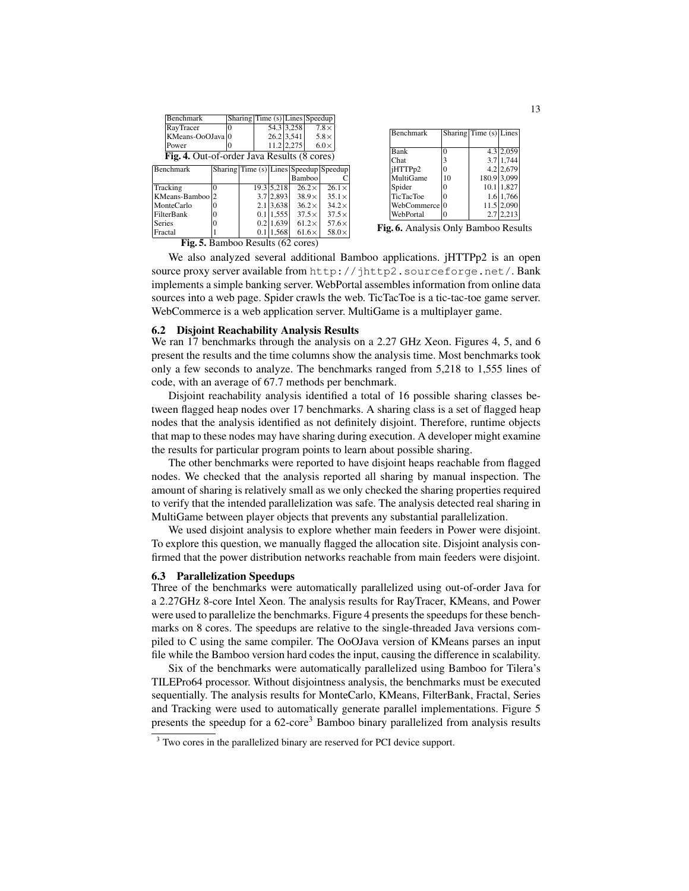| Benchmark                                   |  |  |            | Sharing Time (s) Lines Speedup |  |  |  |  |
|---------------------------------------------|--|--|------------|--------------------------------|--|--|--|--|
| RayTracer                                   |  |  | 54.3 3,258 | $7.8\times$                    |  |  |  |  |
| KMeans-OoOJava 0                            |  |  | 26.2 3,541 | $5.8\times$                    |  |  |  |  |
| Power                                       |  |  | 11.2 2.275 | $6.0\times$                    |  |  |  |  |
| Fig. 4. Out-of-order Java Results (8 cores) |  |  |            |                                |  |  |  |  |

| Benchmark                    |                  |               | Sharing Time (s) Lines Speedup Speedup |              |
|------------------------------|------------------|---------------|----------------------------------------|--------------|
|                              |                  |               | Bamboo                                 | C            |
| Tracking                     |                  | 19.3 5.218    | $26.2\times$                           | $26.1\times$ |
| KMeans-Bamboo <sup>1</sup> 2 |                  | 3.7 2.893     | $38.9\times$                           | $35.1\times$ |
| MonteCarlo                   | $\left( \right)$ | 2.1 3.638     | $36.2\times$                           | $34.2\times$ |
| FilterBank                   | $\left( \right)$ | 0.1 1.555     | $37.5\times$                           | $37.5\times$ |
| <b>Series</b>                |                  | 0.2 1.639     | $61.2\times$                           | $57.6\times$ |
| Fractal                      |                  | $0.1$   1.568 | $61.6\times$                           | $58.0\times$ |

Fig. 5. Bamboo Results (62 cores)

| <b>Benchmark</b>          |          | Sharing $\text{Time}$ (s) Lines |             |
|---------------------------|----------|---------------------------------|-------------|
|                           |          |                                 |             |
| Bank                      | $\Omega$ |                                 | 4.3 2,059   |
| Chat                      | ٩        |                                 | 3.7 1,744   |
| iHTTPp2                   | n        |                                 | 4.2 2,679   |
| MultiGame                 | 10       |                                 | 180.9 3,099 |
| Spider                    |          |                                 | 10.1 1,827  |
| <b>TicTacToe</b>          | 0        |                                 | 1.6 1,766   |
| WebCommerce <sup>10</sup> |          |                                 | 11.5 2,090  |
| WebPortal                 |          |                                 | 2.7 2.213   |

Fig. 6. Analysis Only Bamboo Results

We also analyzed several additional Bamboo applications.  $\text{[HTTPp2}$  is an open source proxy server available from http://jhttp2.sourceforge.net/.Bank implements a simple banking server. WebPortal assembles information from online data sources into a web page. Spider crawls the web. TicTacToe is a tic-tac-toe game server. WebCommerce is a web application server. MultiGame is a multiplayer game.

# 6.2 Disjoint Reachability Analysis Results

We ran 17 benchmarks through the analysis on a 2.27 GHz Xeon. Figures 4, 5, and 6 present the results and the time columns show the analysis time. Most benchmarks took only a few seconds to analyze. The benchmarks ranged from 5,218 to 1,555 lines of code, with an average of 67.7 methods per benchmark.

Disjoint reachability analysis identified a total of 16 possible sharing classes between flagged heap nodes over 17 benchmarks. A sharing class is a set of flagged heap nodes that the analysis identified as not definitely disjoint. Therefore, runtime objects that map to these nodes may have sharing during execution. A developer might examine the results for particular program points to learn about possible sharing.

The other benchmarks were reported to have disjoint heaps reachable from flagged nodes. We checked that the analysis reported all sharing by manual inspection. The amount of sharing is relatively small as we only checked the sharing properties required to verify that the intended parallelization was safe. The analysis detected real sharing in MultiGame between player objects that prevents any substantial parallelization.

We used disjoint analysis to explore whether main feeders in Power were disjoint. To explore this question, we manually flagged the allocation site. Disjoint analysis confirmed that the power distribution networks reachable from main feeders were disjoint.

#### 6.3 Parallelization Speedups

Three of the benchmarks were automatically parallelized using out-of-order Java for a 2.27GHz 8-core Intel Xeon. The analysis results for RayTracer, KMeans, and Power were used to parallelize the benchmarks. Figure 4 presents the speedups for these benchmarks on 8 cores. The speedups are relative to the single-threaded Java versions compiled to C using the same compiler. The OoOJava version of KMeans parses an input file while the Bamboo version hard codes the input, causing the difference in scalability.

Six of the benchmarks were automatically parallelized using Bamboo for Tilera's TILEPro64 processor. Without disjointness analysis, the benchmarks must be executed sequentially. The analysis results for MonteCarlo, KMeans, FilterBank, Fractal, Series and Tracking were used to automatically generate parallel implementations. Figure 5 presents the speedup for a 62-core<sup>3</sup> Bamboo binary parallelized from analysis results

<sup>&</sup>lt;sup>3</sup> Two cores in the parallelized binary are reserved for PCI device support.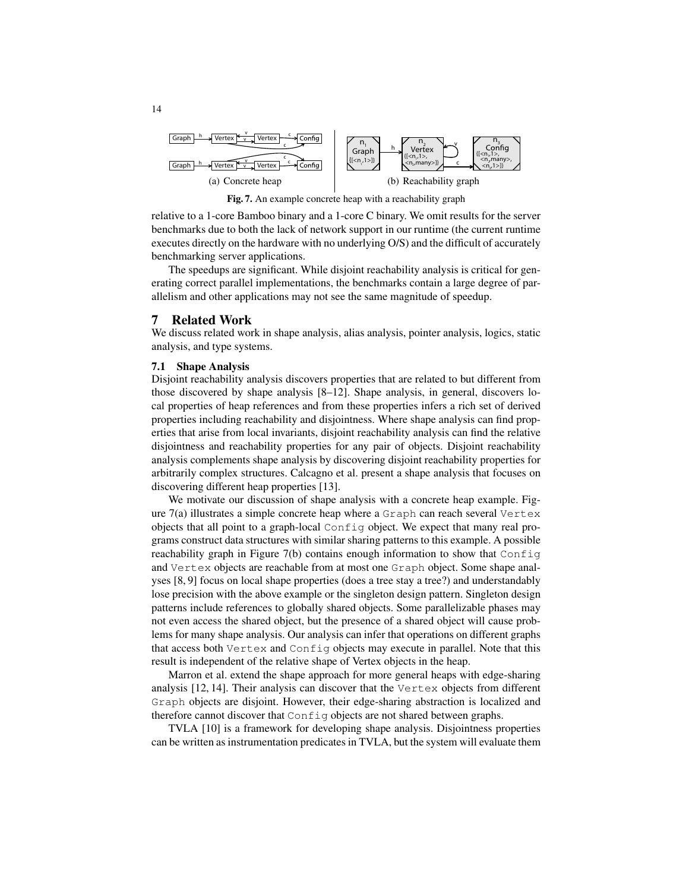

Fig. 7. An example concrete heap with a reachability graph

relative to a 1-core Bamboo binary and a 1-core C binary. We omit results for the server benchmarks due to both the lack of network support in our runtime (the current runtime executes directly on the hardware with no underlying O/S) and the difficult of accurately benchmarking server applications.

The speedups are significant. While disjoint reachability analysis is critical for generating correct parallel implementations, the benchmarks contain a large degree of parallelism and other applications may not see the same magnitude of speedup.

# 7 Related Work

We discuss related work in shape analysis, alias analysis, pointer analysis, logics, static analysis, and type systems.

### 7.1 Shape Analysis

Disjoint reachability analysis discovers properties that are related to but different from those discovered by shape analysis [8–12]. Shape analysis, in general, discovers local properties of heap references and from these properties infers a rich set of derived properties including reachability and disjointness. Where shape analysis can find properties that arise from local invariants, disjoint reachability analysis can find the relative disjointness and reachability properties for any pair of objects. Disjoint reachability analysis complements shape analysis by discovering disjoint reachability properties for arbitrarily complex structures. Calcagno et al. present a shape analysis that focuses on discovering different heap properties [13].

We motivate our discussion of shape analysis with a concrete heap example. Figure 7(a) illustrates a simple concrete heap where a Graph can reach several Vertex objects that all point to a graph-local  $\text{Confiq}$  object. We expect that many real programs construct data structures with similar sharing patterns to this example. A possible reachability graph in Figure 7(b) contains enough information to show that Config and Vertex objects are reachable from at most one Graph object. Some shape analyses [8, 9] focus on local shape properties (does a tree stay a tree?) and understandably lose precision with the above example or the singleton design pattern. Singleton design patterns include references to globally shared objects. Some parallelizable phases may not even access the shared object, but the presence of a shared object will cause problems for many shape analysis. Our analysis can infer that operations on different graphs that access both Vertex and Config objects may execute in parallel. Note that this result is independent of the relative shape of Vertex objects in the heap.

Marron et al. extend the shape approach for more general heaps with edge-sharing analysis [12, 14]. Their analysis can discover that the Vertex objects from different Graph objects are disjoint. However, their edge-sharing abstraction is localized and therefore cannot discover that Config objects are not shared between graphs.

TVLA [10] is a framework for developing shape analysis. Disjointness properties can be written as instrumentation predicates in TVLA, but the system will evaluate them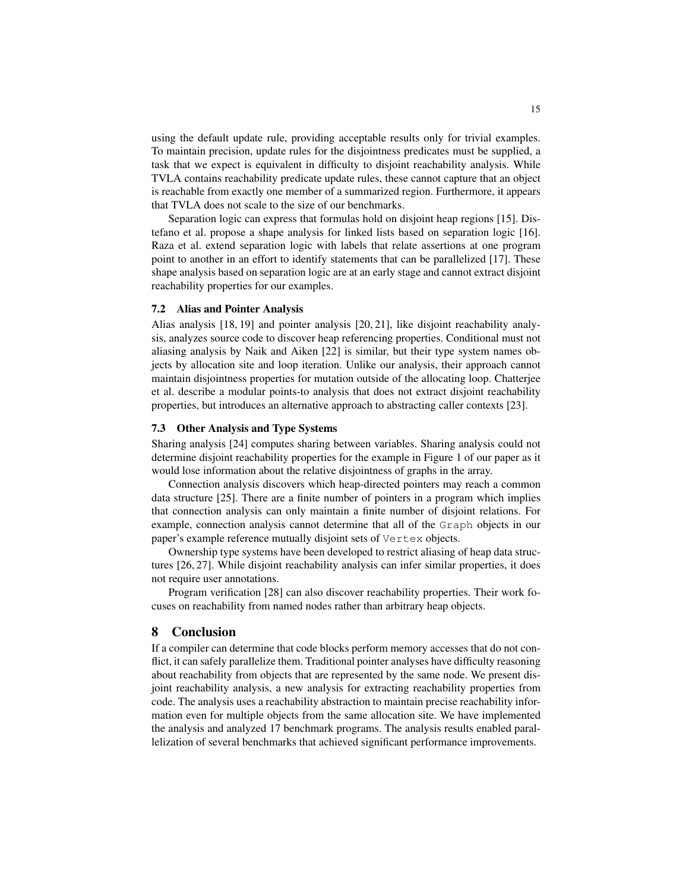using the default update rule, providing acceptable results only for trivial examples. To maintain precision, update rules for the disjointness predicates must be supplied, a task that we expect is equivalent in difficulty to disjoint reachability analysis. While TVLA contains reachability predicate update rules, these cannot capture that an object is reachable from exactly one member of a summarized region. Furthermore, it appears that TVLA does not scale to the size of our benchmarks.

Separation logic can express that formulas hold on disjoint heap regions [15]. Distefano et al. propose a shape analysis for linked lists based on separation logic [16]. Raza et al. extend separation logic with labels that relate assertions at one program point to another in an effort to identify statements that can be parallelized [17]. These shape analysis based on separation logic are at an early stage and cannot extract disjoint reachability properties for our examples.

# 7.2 Alias and Pointer Analysis

Alias analysis [18, 19] and pointer analysis [20, 21], like disjoint reachability analysis, analyzes source code to discover heap referencing properties. Conditional must not aliasing analysis by Naik and Aiken [22] is similar, but their type system names objects by allocation site and loop iteration. Unlike our analysis, their approach cannot maintain disjointness properties for mutation outside of the allocating loop. Chatterjee et al. describe a modular points-to analysis that does not extract disjoint reachability properties, but introduces an alternative approach to abstracting caller contexts [23].

# 7.3 Other Analysis and Type Systems

Sharing analysis [24] computes sharing between variables. Sharing analysis could not determine disjoint reachability properties for the example in Figure 1 of our paper as it would lose information about the relative disjointness of graphs in the array.

Connection analysis discovers which heap-directed pointers may reach a common data structure [25]. There are a finite number of pointers in a program which implies that connection analysis can only maintain a finite number of disjoint relations. For example, connection analysis cannot determine that all of the Graph objects in our paper's example reference mutually disjoint sets of Vertex objects.

Ownership type systems have been developed to restrict aliasing of heap data structures [26, 27]. While disjoint reachability analysis can infer similar properties, it does not require user annotations.

Program verification [28] can also discover reachability properties. Their work focuses on reachability from named nodes rather than arbitrary heap objects.

# 8 Conclusion

If a compiler can determine that code blocks perform memory accesses that do not conflict, it can safely parallelize them. Traditional pointer analyses have difficulty reasoning about reachability from objects that are represented by the same node. We present disjoint reachability analysis, a new analysis for extracting reachability properties from code. The analysis uses a reachability abstraction to maintain precise reachability information even for multiple objects from the same allocation site. We have implemented the analysis and analyzed 17 benchmark programs. The analysis results enabled parallelization of several benchmarks that achieved significant performance improvements.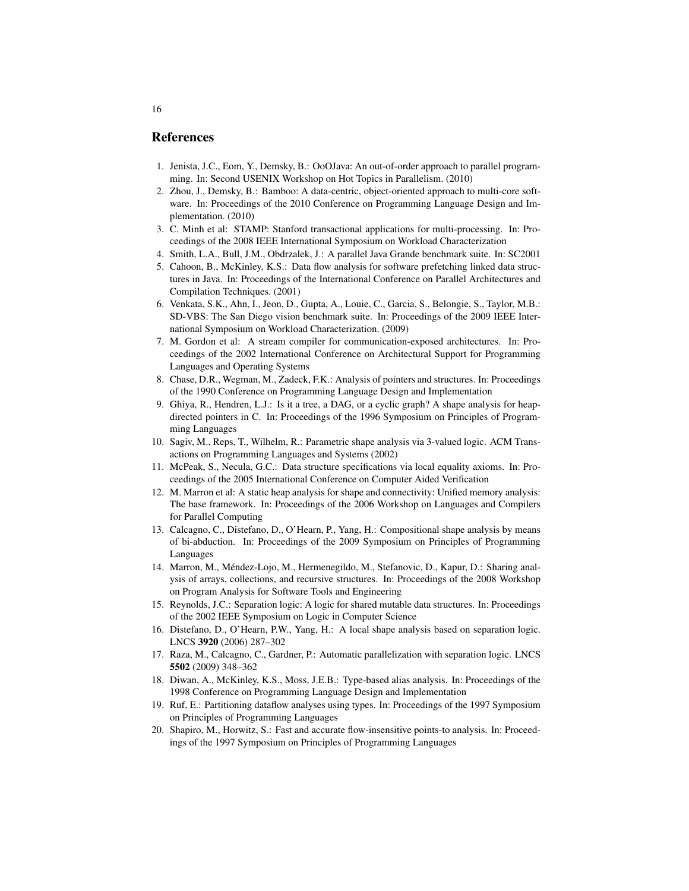# References

- 1. Jenista, J.C., Eom, Y., Demsky, B.: OoOJava: An out-of-order approach to parallel programming. In: Second USENIX Workshop on Hot Topics in Parallelism. (2010)
- 2. Zhou, J., Demsky, B.: Bamboo: A data-centric, object-oriented approach to multi-core software. In: Proceedings of the 2010 Conference on Programming Language Design and Implementation. (2010)
- 3. C. Minh et al: STAMP: Stanford transactional applications for multi-processing. In: Proceedings of the 2008 IEEE International Symposium on Workload Characterization
- 4. Smith, L.A., Bull, J.M., Obdrzalek, J.: A parallel Java Grande benchmark suite. In: SC2001
- 5. Cahoon, B., McKinley, K.S.: Data flow analysis for software prefetching linked data structures in Java. In: Proceedings of the International Conference on Parallel Architectures and Compilation Techniques. (2001)
- 6. Venkata, S.K., Ahn, I., Jeon, D., Gupta, A., Louie, C., Garcia, S., Belongie, S., Taylor, M.B.: SD-VBS: The San Diego vision benchmark suite. In: Proceedings of the 2009 IEEE International Symposium on Workload Characterization. (2009)
- 7. M. Gordon et al: A stream compiler for communication-exposed architectures. In: Proceedings of the 2002 International Conference on Architectural Support for Programming Languages and Operating Systems
- 8. Chase, D.R., Wegman, M., Zadeck, F.K.: Analysis of pointers and structures. In: Proceedings of the 1990 Conference on Programming Language Design and Implementation
- 9. Ghiya, R., Hendren, L.J.: Is it a tree, a DAG, or a cyclic graph? A shape analysis for heapdirected pointers in C. In: Proceedings of the 1996 Symposium on Principles of Programming Languages
- 10. Sagiv, M., Reps, T., Wilhelm, R.: Parametric shape analysis via 3-valued logic. ACM Transactions on Programming Languages and Systems (2002)
- 11. McPeak, S., Necula, G.C.: Data structure specifications via local equality axioms. In: Proceedings of the 2005 International Conference on Computer Aided Verification
- 12. M. Marron et al: A static heap analysis for shape and connectivity: Unified memory analysis: The base framework. In: Proceedings of the 2006 Workshop on Languages and Compilers for Parallel Computing
- 13. Calcagno, C., Distefano, D., O'Hearn, P., Yang, H.: Compositional shape analysis by means of bi-abduction. In: Proceedings of the 2009 Symposium on Principles of Programming Languages
- 14. Marron, M., Mendez-Lojo, M., Hermenegildo, M., Stefanovic, D., Kapur, D.: Sharing anal- ´ ysis of arrays, collections, and recursive structures. In: Proceedings of the 2008 Workshop on Program Analysis for Software Tools and Engineering
- 15. Reynolds, J.C.: Separation logic: A logic for shared mutable data structures. In: Proceedings of the 2002 IEEE Symposium on Logic in Computer Science
- 16. Distefano, D., O'Hearn, P.W., Yang, H.: A local shape analysis based on separation logic. LNCS 3920 (2006) 287–302
- 17. Raza, M., Calcagno, C., Gardner, P.: Automatic parallelization with separation logic. LNCS 5502 (2009) 348–362
- 18. Diwan, A., McKinley, K.S., Moss, J.E.B.: Type-based alias analysis. In: Proceedings of the 1998 Conference on Programming Language Design and Implementation
- 19. Ruf, E.: Partitioning dataflow analyses using types. In: Proceedings of the 1997 Symposium on Principles of Programming Languages
- 20. Shapiro, M., Horwitz, S.: Fast and accurate flow-insensitive points-to analysis. In: Proceedings of the 1997 Symposium on Principles of Programming Languages

16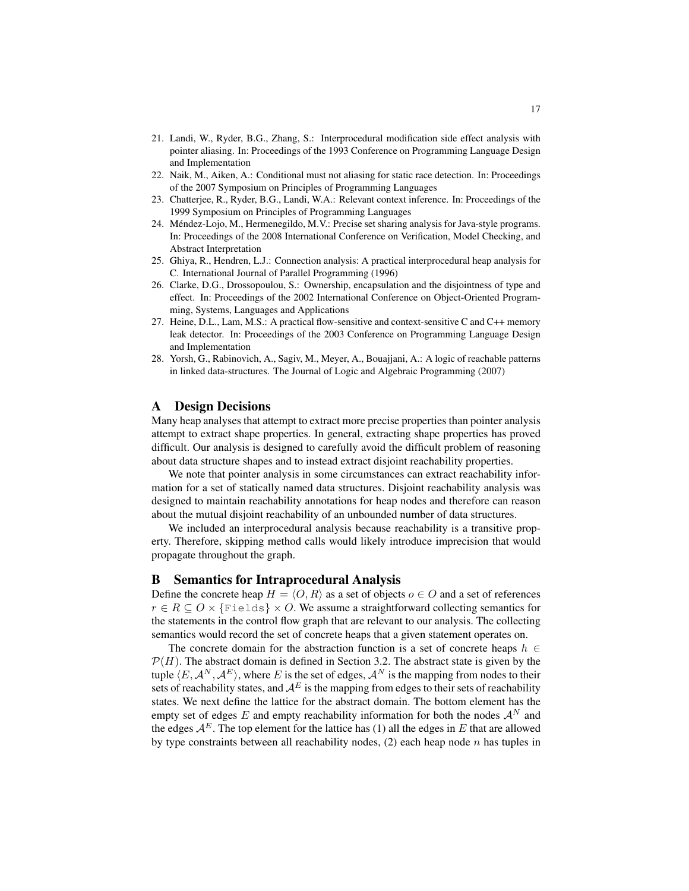- 21. Landi, W., Ryder, B.G., Zhang, S.: Interprocedural modification side effect analysis with pointer aliasing. In: Proceedings of the 1993 Conference on Programming Language Design and Implementation
- 22. Naik, M., Aiken, A.: Conditional must not aliasing for static race detection. In: Proceedings of the 2007 Symposium on Principles of Programming Languages
- 23. Chatterjee, R., Ryder, B.G., Landi, W.A.: Relevant context inference. In: Proceedings of the 1999 Symposium on Principles of Programming Languages
- 24. Mendez-Lojo, M., Hermenegildo, M.V.: Precise set sharing analysis for Java-style programs. ´ In: Proceedings of the 2008 International Conference on Verification, Model Checking, and Abstract Interpretation
- 25. Ghiya, R., Hendren, L.J.: Connection analysis: A practical interprocedural heap analysis for C. International Journal of Parallel Programming (1996)
- 26. Clarke, D.G., Drossopoulou, S.: Ownership, encapsulation and the disjointness of type and effect. In: Proceedings of the 2002 International Conference on Object-Oriented Programming, Systems, Languages and Applications
- 27. Heine, D.L., Lam, M.S.: A practical flow-sensitive and context-sensitive C and C++ memory leak detector. In: Proceedings of the 2003 Conference on Programming Language Design and Implementation
- 28. Yorsh, G., Rabinovich, A., Sagiv, M., Meyer, A., Bouajjani, A.: A logic of reachable patterns in linked data-structures. The Journal of Logic and Algebraic Programming (2007)

# A Design Decisions

Many heap analyses that attempt to extract more precise properties than pointer analysis attempt to extract shape properties. In general, extracting shape properties has proved difficult. Our analysis is designed to carefully avoid the difficult problem of reasoning about data structure shapes and to instead extract disjoint reachability properties.

We note that pointer analysis in some circumstances can extract reachability information for a set of statically named data structures. Disjoint reachability analysis was designed to maintain reachability annotations for heap nodes and therefore can reason about the mutual disjoint reachability of an unbounded number of data structures.

We included an interprocedural analysis because reachability is a transitive property. Therefore, skipping method calls would likely introduce imprecision that would propagate throughout the graph.

# B Semantics for Intraprocedural Analysis

Define the concrete heap  $H = \langle O, R \rangle$  as a set of objects  $o \in O$  and a set of references  $r \in R \subseteq O \times \{ \text{Fields} \} \times O$ . We assume a straightforward collecting semantics for the statements in the control flow graph that are relevant to our analysis. The collecting semantics would record the set of concrete heaps that a given statement operates on.

The concrete domain for the abstraction function is a set of concrete heaps  $h \in$  $\mathcal{P}(H)$ . The abstract domain is defined in Section 3.2. The abstract state is given by the tuple  $\langle E, \mathcal{A}^N, \mathcal{A}^E \rangle$ , where E is the set of edges,  $\mathcal{A}^N$  is the mapping from nodes to their sets of reachability states, and  $A^E$  is the mapping from edges to their sets of reachability states. We next define the lattice for the abstract domain. The bottom element has the empty set of edges E and empty reachability information for both the nodes  $A^N$  and the edges  $A^E$ . The top element for the lattice has (1) all the edges in E that are allowed by type constraints between all reachability nodes,  $(2)$  each heap node n has tuples in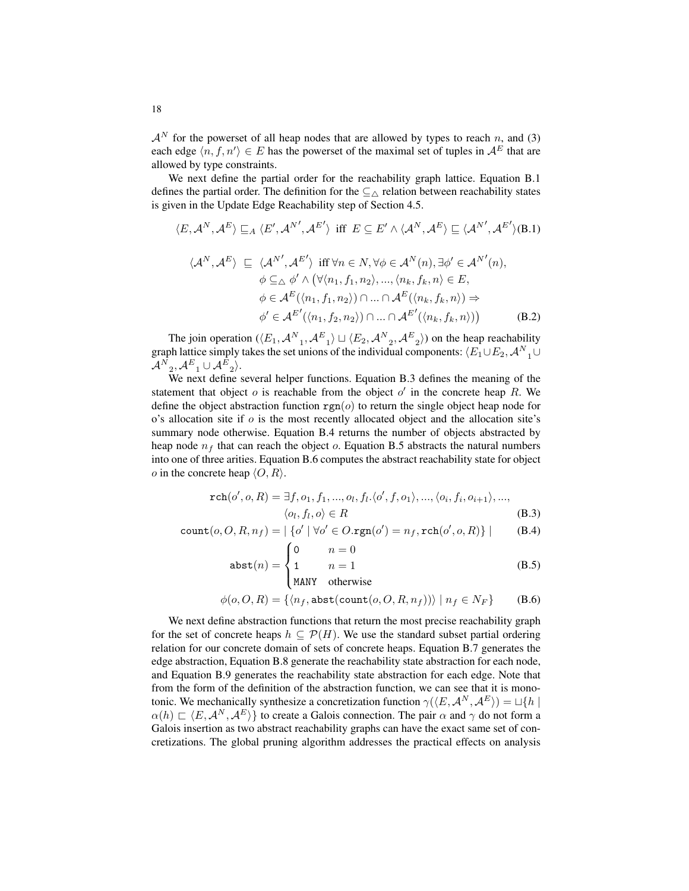$A<sup>N</sup>$  for the powerset of all heap nodes that are allowed by types to reach n, and (3) each edge  $\langle n, f, n' \rangle \in E$  has the powerset of the maximal set of tuples in  $A^E$  that are allowed by type constraints.

We next define the partial order for the reachability graph lattice. Equation B.1 defines the partial order. The definition for the  $\subseteq_\triangle$  relation between reachability states is given in the Update Edge Reachability step of Section 4.5.

$$
\langle E, \mathcal{A}^N, \mathcal{A}^E \rangle \sqsubseteq_A \langle E', \mathcal{A}^{N'}, \mathcal{A}^{E'} \rangle \text{ iff } E \subseteq E' \land \langle \mathcal{A}^N, \mathcal{A}^E \rangle \sqsubseteq \langle \mathcal{A}^{N'}, \mathcal{A}^{E'} \rangle \text{(B.1)}
$$

$$
\langle \mathcal{A}^N, \mathcal{A}^E \rangle \sqsubseteq \langle \mathcal{A}^{N'}, \mathcal{A}^{E'} \rangle \text{ iff } \forall n \in N, \forall \phi \in \mathcal{A}^N(n), \exists \phi' \in \mathcal{A}^{N'}(n),
$$

$$
\phi \subseteq_{\Delta} \phi' \land (\forall \langle n_1, f_1, n_2 \rangle, ..., \langle n_k, f_k, n \rangle \in E,
$$

$$
\phi \in \mathcal{A}^E(\langle n_1, f_1, n_2 \rangle) \cap ... \cap \mathcal{A}^E(\langle n_k, f_k, n \rangle)) \Rightarrow
$$

$$
\phi' \in \mathcal{A}^{E'}(\langle n_1, f_2, n_2 \rangle) \cap ... \cap \mathcal{A}^{E'}(\langle n_k, f_k, n \rangle)) \tag{B.2}
$$

The join operation  $(\langle E_1, \mathcal{A}^N{}_1, \mathcal{A}^E{}_1 \rangle \sqcup \langle E_2, \mathcal{A}^N{}_2, \mathcal{A}^E{}_2 \rangle)$  on the heap reachability graph lattice simply takes the set unions of the individual components:  $\langle E_1 \cup E_2, {\cal A}^N\mathstrut_1 \cup$  $\mathcal{A}^N{}_2, \mathcal{A}^E{}_1 \cup \mathcal{A}^E{}_2 \rangle.$ 

We next define several helper functions. Equation B.3 defines the meaning of the statement that object  $o$  is reachable from the object  $o'$  in the concrete heap  $R$ . We define the object abstraction function  $\text{rgn}(o)$  to return the single object heap node for o's allocation site if o is the most recently allocated object and the allocation site's summary node otherwise. Equation B.4 returns the number of objects abstracted by heap node  $n_f$  that can reach the object o. Equation B.5 abstracts the natural numbers into one of three arities. Equation B.6 computes the abstract reachability state for object *o* in the concrete heap  $\langle O, R \rangle$ .

$$
\operatorname{rch}(o', o, R) = \exists f, o_1, f_1, \dots, o_l, f_l. \langle o', f, o_1 \rangle, \dots, \langle o_i, f_i, o_{i+1} \rangle, \dots, \langle o_l, f_l, o \rangle \in R
$$
\n(B.3)

$$
\text{count}(o, O, R, n_f) = |\{o' \mid \forall o' \in O.\text{rgn}(o') = n_f, \text{rch}(o', o, R)\}|
$$
 (B.4)

$$
abst(n) = \begin{cases} 0 & n = 0\\ 1 & n = 1\\ \text{MANY} & \text{otherwise} \end{cases}
$$
 (B.5)

$$
\phi(o, O, R) = \{ \langle n_f, \text{abst}(\text{count}(o, O, R, n_f)) \rangle \mid n_f \in N_F \}
$$
 (B.6)

We next define abstraction functions that return the most precise reachability graph for the set of concrete heaps  $h \subseteq \mathcal{P}(H)$ . We use the standard subset partial ordering relation for our concrete domain of sets of concrete heaps. Equation B.7 generates the edge abstraction, Equation B.8 generate the reachability state abstraction for each node, and Equation B.9 generates the reachability state abstraction for each edge. Note that from the form of the definition of the abstraction function, we can see that it is monotonic. We mechanically synthesize a concretization function  $\gamma(\langle E, \mathcal{A}^N, \mathcal{A}^E \rangle) = \Box \{h | \}$  $\alpha(h) \subset \langle E, \mathcal{A}^N, \mathcal{A}^E \rangle$  to create a Galois connection. The pair  $\alpha$  and  $\gamma$  do not form a Galois insertion as two abstract reachability graphs can have the exact same set of concretizations. The global pruning algorithm addresses the practical effects on analysis

18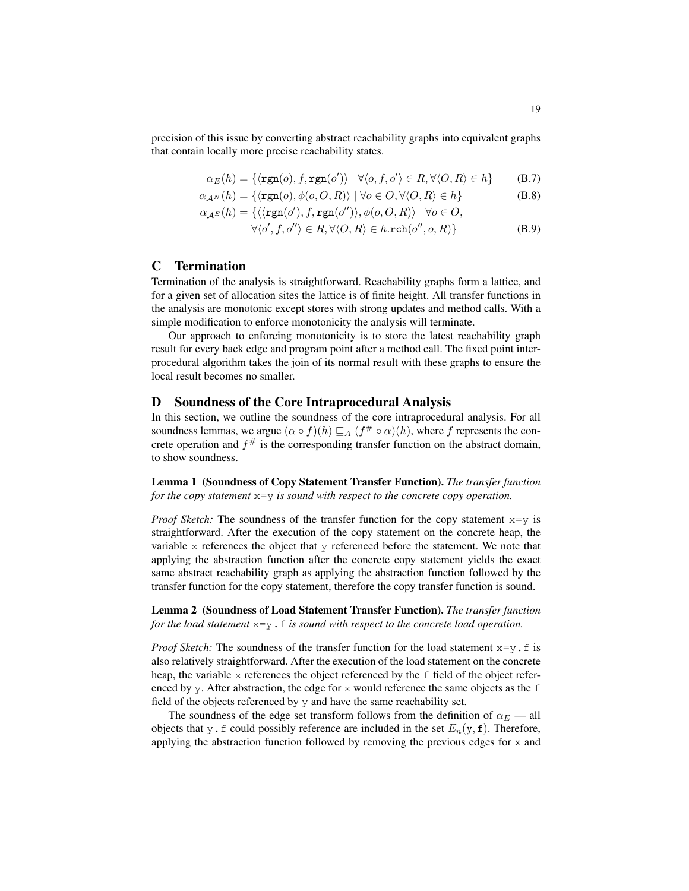precision of this issue by converting abstract reachability graphs into equivalent graphs that contain locally more precise reachability states.

$$
\alpha_E(h) = \{ \langle \texttt{rgn}(o), f, \texttt{rgn}(o') \rangle \mid \forall \langle o, f, o' \rangle \in R, \forall \langle O, R \rangle \in h \}
$$
 (B.7)

$$
\alpha_{\mathcal{A}^N}(h) = \{ \langle \texttt{rgn}(o), \phi(o, O, R) \rangle \mid \forall o \in O, \forall \langle O, R \rangle \in h \}
$$
 (B.8)

$$
\alpha_{\mathcal{A}^E}(h) = \{ \langle \langle \texttt{rgn}(o'), f, \texttt{rgn}(o'') \rangle, \phi(o, O, R) \rangle \mid \forall o \in O,
$$

$$
\forall \langle o', f, o'' \rangle \in R, \forall \langle O, R \rangle \in h.\text{rch}(o'', o, R) \}
$$
 (B.9)

# C Termination

Termination of the analysis is straightforward. Reachability graphs form a lattice, and for a given set of allocation sites the lattice is of finite height. All transfer functions in the analysis are monotonic except stores with strong updates and method calls. With a simple modification to enforce monotonicity the analysis will terminate.

Our approach to enforcing monotonicity is to store the latest reachability graph result for every back edge and program point after a method call. The fixed point interprocedural algorithm takes the join of its normal result with these graphs to ensure the local result becomes no smaller.

# D Soundness of the Core Intraprocedural Analysis

In this section, we outline the soundness of the core intraprocedural analysis. For all soundness lemmas, we argue  $(\alpha \circ f)(h) \sqsubseteq_A (f^{\#} \circ \alpha)(h)$ , where f represents the concrete operation and  $f^{\#}$  is the corresponding transfer function on the abstract domain, to show soundness.

Lemma 1 (Soundness of Copy Statement Transfer Function). *The transfer function for the copy statement* x=y *is sound with respect to the concrete copy operation.*

*Proof Sketch:* The soundness of the transfer function for the copy statement  $x=y$  is straightforward. After the execution of the copy statement on the concrete heap, the variable x references the object that y referenced before the statement. We note that applying the abstraction function after the concrete copy statement yields the exact same abstract reachability graph as applying the abstraction function followed by the transfer function for the copy statement, therefore the copy transfer function is sound.

Lemma 2 (Soundness of Load Statement Transfer Function). *The transfer function for the load statement*  $x=y$ . *f is sound with respect to the concrete load operation.* 

*Proof Sketch:* The soundness of the transfer function for the load statement  $x=y$ . f is also relatively straightforward. After the execution of the load statement on the concrete heap, the variable x references the object referenced by the f field of the object referenced by y. After abstraction, the edge for x would reference the same objects as the  $f$ field of the objects referenced by y and have the same reachability set.

The soundness of the edge set transform follows from the definition of  $\alpha_E$  — all objects that y.f could possibly reference are included in the set  $E_n(y, f)$ . Therefore, applying the abstraction function followed by removing the previous edges for x and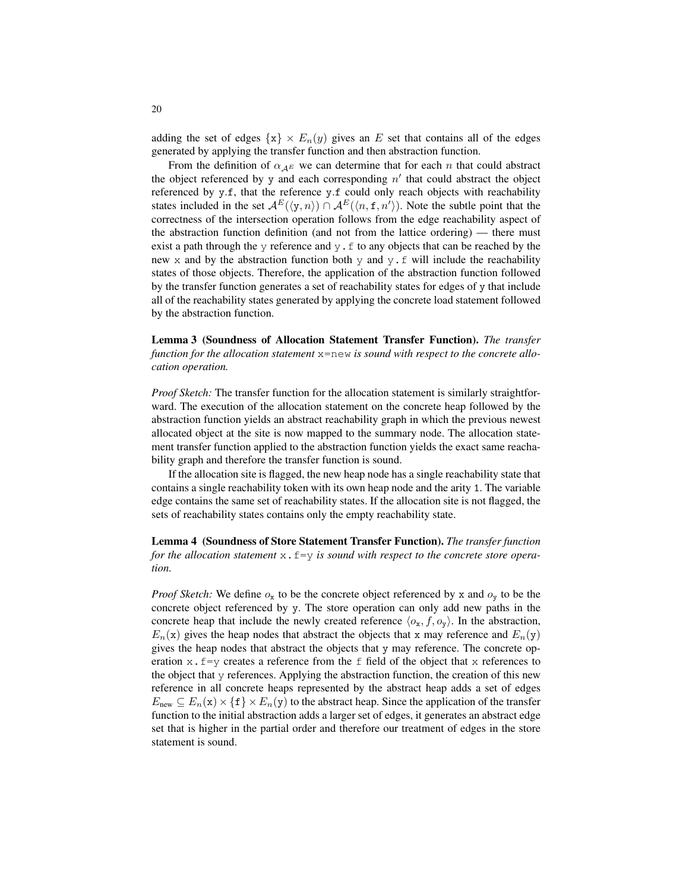adding the set of edges  $\{x\} \times E_n(y)$  gives an E set that contains all of the edges generated by applying the transfer function and then abstraction function.

From the definition of  $\alpha_{\mathcal{A}^E}$  we can determine that for each n that could abstract the object referenced by y and each corresponding  $n'$  that could abstract the object referenced by y.f, that the reference y.f could only reach objects with reachability states included in the set  $\mathcal{A}^E(\langle y, n \rangle) \cap \mathcal{A}^E(\langle n, \mathbf{f}, n' \rangle)$ . Note the subtle point that the correctness of the intersection operation follows from the edge reachability aspect of the abstraction function definition (and not from the lattice ordering) — there must exist a path through the y reference and y.f to any objects that can be reached by the new x and by the abstraction function both y and  $y \cdot f$  will include the reachability states of those objects. Therefore, the application of the abstraction function followed by the transfer function generates a set of reachability states for edges of y that include all of the reachability states generated by applying the concrete load statement followed by the abstraction function.

Lemma 3 (Soundness of Allocation Statement Transfer Function). *The transfer function for the allocation statement* x=new *is sound with respect to the concrete allocation operation.*

*Proof Sketch:* The transfer function for the allocation statement is similarly straightforward. The execution of the allocation statement on the concrete heap followed by the abstraction function yields an abstract reachability graph in which the previous newest allocated object at the site is now mapped to the summary node. The allocation statement transfer function applied to the abstraction function yields the exact same reachability graph and therefore the transfer function is sound.

If the allocation site is flagged, the new heap node has a single reachability state that contains a single reachability token with its own heap node and the arity 1. The variable edge contains the same set of reachability states. If the allocation site is not flagged, the sets of reachability states contains only the empty reachability state.

Lemma 4 (Soundness of Store Statement Transfer Function). *The transfer function for the allocation statement*  $x$ ,  $f = y$  *is sound with respect to the concrete store operation.*

*Proof Sketch:* We define  $o_x$  to be the concrete object referenced by x and  $o_y$  to be the concrete object referenced by y. The store operation can only add new paths in the concrete heap that include the newly created reference  $\langle o_x, f, o_y \rangle$ . In the abstraction,  $E_n(x)$  gives the heap nodes that abstract the objects that x may reference and  $E_n(y)$ gives the heap nodes that abstract the objects that y may reference. The concrete operation  $x$ .  $f=y$  creates a reference from the f field of the object that x references to the object that y references. Applying the abstraction function, the creation of this new reference in all concrete heaps represented by the abstract heap adds a set of edges  $E_{\text{new}} \subseteq E_n(\mathbf{x}) \times \{\mathbf{f}\}\times E_n(\mathbf{y})$  to the abstract heap. Since the application of the transfer function to the initial abstraction adds a larger set of edges, it generates an abstract edge set that is higher in the partial order and therefore our treatment of edges in the store statement is sound.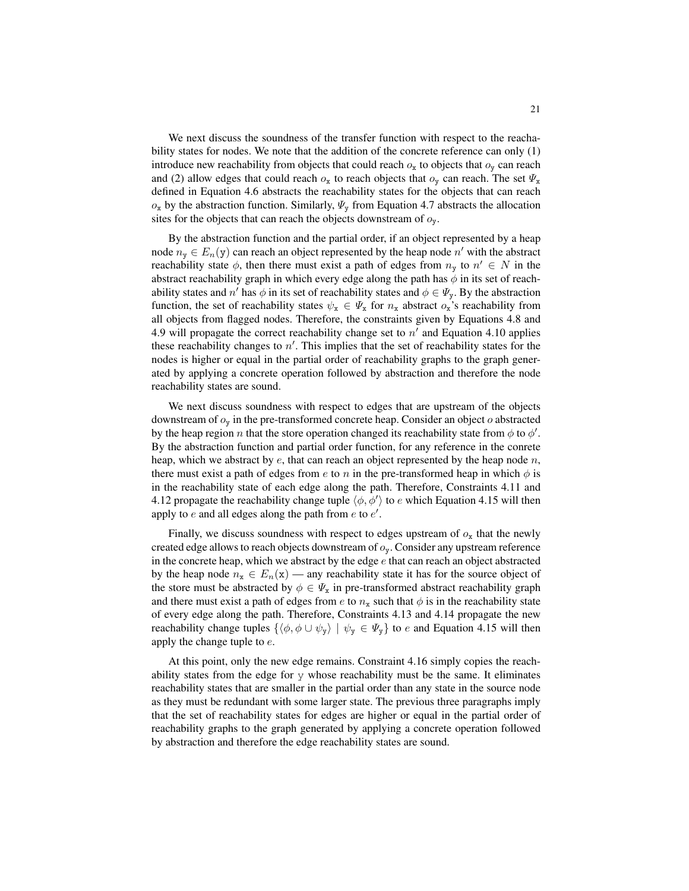We next discuss the soundness of the transfer function with respect to the reachability states for nodes. We note that the addition of the concrete reference can only (1) introduce new reachability from objects that could reach  $o_x$  to objects that  $o_y$  can reach and (2) allow edges that could reach  $o_x$  to reach objects that  $o_y$  can reach. The set  $\Psi_x$ defined in Equation 4.6 abstracts the reachability states for the objects that can reach  $o_x$  by the abstraction function. Similarly,  $\Psi_v$  from Equation 4.7 abstracts the allocation sites for the objects that can reach the objects downstream of  $o_y$ .

By the abstraction function and the partial order, if an object represented by a heap node  $n_y \in E_n(y)$  can reach an object represented by the heap node  $n'$  with the abstract reachability state  $\phi$ , then there must exist a path of edges from  $n_y$  to  $n' \in N$  in the abstract reachability graph in which every edge along the path has  $\phi$  in its set of reachability states and  $n'$  has  $\phi$  in its set of reachability states and  $\phi \in \Psi_y$ . By the abstraction function, the set of reachability states  $\psi_x \in \Psi_x$  for  $n_x$  abstract  $o_x$ 's reachability from all objects from flagged nodes. Therefore, the constraints given by Equations 4.8 and 4.9 will propagate the correct reachability change set to  $n'$  and Equation 4.10 applies these reachability changes to  $n'$ . This implies that the set of reachability states for the nodes is higher or equal in the partial order of reachability graphs to the graph generated by applying a concrete operation followed by abstraction and therefore the node reachability states are sound.

We next discuss soundness with respect to edges that are upstream of the objects downstream of  $o_y$  in the pre-transformed concrete heap. Consider an object  $o$  abstracted by the heap region n that the store operation changed its reachability state from  $\phi$  to  $\phi'$ . By the abstraction function and partial order function, for any reference in the conrete heap, which we abstract by  $e$ , that can reach an object represented by the heap node  $n$ , there must exist a path of edges from e to n in the pre-transformed heap in which  $\phi$  is in the reachability state of each edge along the path. Therefore, Constraints 4.11 and 4.12 propagate the reachability change tuple  $\langle \phi, \phi' \rangle$  to e which Equation 4.15 will then apply to  $e$  and all edges along the path from  $e$  to  $e'$ .

Finally, we discuss soundness with respect to edges upstream of  $o_x$  that the newly created edge allows to reach objects downstream of  $o_y$ . Consider any upstream reference in the concrete heap, which we abstract by the edge  $e$  that can reach an object abstracted by the heap node  $n_x \in E_n(x)$  — any reachability state it has for the source object of the store must be abstracted by  $\phi \in \Psi_x$  in pre-transformed abstract reachability graph and there must exist a path of edges from e to  $n_x$  such that  $\phi$  is in the reachability state of every edge along the path. Therefore, Constraints 4.13 and 4.14 propagate the new reachability change tuples  $\{\langle \phi, \phi \cup \psi_y \rangle \mid \psi_y \in \Psi_y\}$  to e and Equation 4.15 will then apply the change tuple to e.

At this point, only the new edge remains. Constraint 4.16 simply copies the reachability states from the edge for y whose reachability must be the same. It eliminates reachability states that are smaller in the partial order than any state in the source node as they must be redundant with some larger state. The previous three paragraphs imply that the set of reachability states for edges are higher or equal in the partial order of reachability graphs to the graph generated by applying a concrete operation followed by abstraction and therefore the edge reachability states are sound.